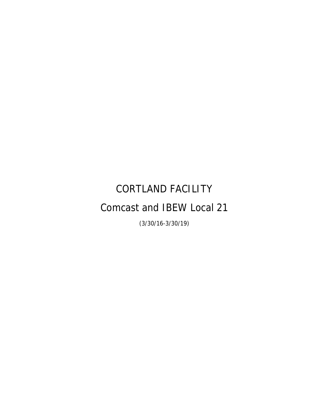# CORTLAND FACILITY Comcast and IBEW Local 21

(3/30/16-3/30/19)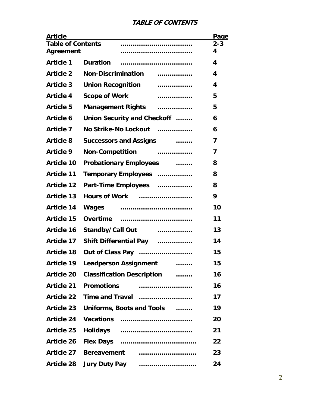## **TABLE OF CONTENTS**

| <b>Article</b>                        |                                                  | Page           |
|---------------------------------------|--------------------------------------------------|----------------|
| <b>Table of Contents</b><br>Agreement |                                                  | $2 - 3$<br>4   |
| <b>Article 1</b>                      | <b>Duration</b>                                  | 4              |
| <b>Article 2</b>                      | <b>Non-Discrimination</b><br>.                   | 4              |
| <b>Article 3</b>                      | <b>Union Recognition</b><br>.                    | 4              |
| <b>Article 4</b>                      | <b>Scope of Work</b><br>.                        | 5              |
| <b>Article 5</b>                      | Management Rights                                | 5              |
| <b>Article 6</b>                      | Union Security and Checkoff                      | 6              |
| <b>Article 7</b>                      | No Strike-No Lockout                             | 6              |
| <b>Article 8</b>                      | <b>Successors and Assigns [1996]</b>             | 7              |
| <b>Article 9</b>                      | Non-Competition                                  | $\overline{ }$ |
| <b>Article 10</b>                     | <b>Probationary Employees</b>                    | 8              |
| <b>Article 11</b>                     | Temporary Employees                              | 8              |
| <b>Article 12</b>                     | Part-Time Employees                              | 8              |
| <b>Article 13</b>                     | <b>Hours of Work</b>                             | 9              |
| <b>Article 14</b>                     |                                                  | 10             |
| <b>Article 15</b>                     |                                                  | 11             |
| <b>Article 16</b>                     | <b>Standby/Call Out</b><br>.                     | 13             |
| <b>Article 17</b>                     | Shift Differential Pay                           | 14             |
| <b>Article 18</b>                     | Out of Class Pay                                 | 15             |
| <b>Article 19</b>                     | Leadperson Assignment                            | 15             |
|                                       | <b>Article 20 Classification Description</b><br> | 16             |
| <b>Article 21</b>                     | <b>Promotions</b>                                | 16             |
|                                       |                                                  | 17             |
| <b>Article 23</b>                     | Uniforms, Boots and Tools                        | 19             |
| <b>Article 24</b>                     | Vacations                                        | 20             |
| <b>Article 25</b>                     |                                                  | 21             |
| <b>Article 26</b>                     |                                                  | 22             |
| <b>Article 27</b>                     | Bereavement                                      | 23             |
|                                       |                                                  | 24             |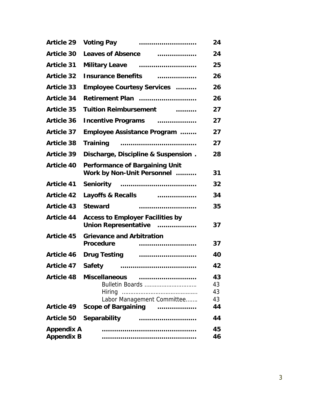| <b>Article 29</b> |                                                                                                                                                                                                                                                                                                               | 24       |
|-------------------|---------------------------------------------------------------------------------------------------------------------------------------------------------------------------------------------------------------------------------------------------------------------------------------------------------------|----------|
| <b>Article 30</b> | Leaves of Absence <b>container and the Leaves</b> of Absence                                                                                                                                                                                                                                                  | 24       |
| <b>Article 31</b> |                                                                                                                                                                                                                                                                                                               | 25       |
| <b>Article 32</b> | Insurance Benefits [ <i>mergenity, mergenity, mergenity, mergenity, mergenity, mergenity, mergenity, mergenity, mergenity, mergenity, mergenity, mergenity, mergenity, <math>\frac{1}{2}</math> and <math>\frac{1}{2}</math> and <math>\frac{1}{2}</math> and <math>\frac{1}{2}</math> and <math>\</math></i> | 26       |
| <b>Article 33</b> | <b>Employee Courtesy Services </b>                                                                                                                                                                                                                                                                            | 26       |
| <b>Article 34</b> | Retirement Plan                                                                                                                                                                                                                                                                                               | 26       |
| <b>Article 35</b> | Tuition Reimbursement                                                                                                                                                                                                                                                                                         | 27       |
| <b>Article 36</b> | Incentive Programs                                                                                                                                                                                                                                                                                            | 27       |
| <b>Article 37</b> | Employee Assistance Program                                                                                                                                                                                                                                                                                   | 27       |
| <b>Article 38</b> |                                                                                                                                                                                                                                                                                                               | 27       |
| <b>Article 39</b> | Discharge, Discipline & Suspension.                                                                                                                                                                                                                                                                           | 28       |
| <b>Article 40</b> | <b>Performance of Bargaining Unit</b><br>Work by Non-Unit Personnel                                                                                                                                                                                                                                           | 31       |
| <b>Article 41</b> |                                                                                                                                                                                                                                                                                                               | 32       |
| <b>Article 42</b> | Layoffs & Recalls                                                                                                                                                                                                                                                                                             | 34       |
| <b>Article 43</b> | <b>Steward</b>                                                                                                                                                                                                                                                                                                | 35       |
| <b>Article 44</b> | <b>Access to Employer Facilities by</b><br>Union Representative                                                                                                                                                                                                                                               | 37       |
| <b>Article 45</b> | <b>Grievance and Arbitration</b><br><b>Procedure</b>                                                                                                                                                                                                                                                          | 37       |
| <b>Article 46</b> | Drug Testing <b>contains the Contract Contract Program</b>                                                                                                                                                                                                                                                    | 40       |
| <b>Article 47</b> | <b>Safety</b>                                                                                                                                                                                                                                                                                                 | 42       |
| <b>Article 48</b> | <b>Miscellaneous</b>                                                                                                                                                                                                                                                                                          | 43       |
|                   | Bulletin Boards                                                                                                                                                                                                                                                                                               | 43       |
|                   |                                                                                                                                                                                                                                                                                                               | 43<br>43 |
| <b>Article 49</b> | Labor Management Committee<br>Scope of Bargaining                                                                                                                                                                                                                                                             | 44       |
|                   |                                                                                                                                                                                                                                                                                                               |          |
| <b>Article 50</b> | <b>Separability</b>                                                                                                                                                                                                                                                                                           | 44       |
| <b>Appendix A</b> |                                                                                                                                                                                                                                                                                                               | 45       |
| <b>Appendix B</b> |                                                                                                                                                                                                                                                                                                               | 46       |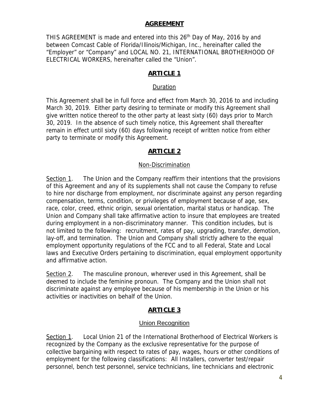#### **AGREEMENT**

THIS AGREEMENT is made and entered into this 26<sup>th</sup> Day of May, 2016 by and between Comcast Cable of Florida/Illinois/Michigan, Inc., hereinafter called the "Employer" or "Company" and LOCAL NO. 21, INTERNATIONAL BROTHERHOOD OF ELECTRICAL WORKERS, hereinafter called the "Union".

## **ARTICLE 1**

#### Duration

This Agreement shall be in full force and effect from March 30, 2016 to and including March 30, 2019. Either party desiring to terminate or modify this Agreement shall give written notice thereof to the other party at least sixty (60) days prior to March 30, 2019. In the absence of such timely notice, this Agreement shall thereafter remain in effect until sixty (60) days following receipt of written notice from either party to terminate or modify this Agreement.

#### **ARTICLE 2**

#### Non-Discrimination

Section 1. The Union and the Company reaffirm their intentions that the provisions of this Agreement and any of its supplements shall not cause the Company to refuse to hire nor discharge from employment, nor discriminate against any person regarding compensation, terms, condition, or privileges of employment because of age, sex, race, color, creed, ethnic origin, sexual orientation, marital status or handicap. The Union and Company shall take affirmative action to insure that employees are treated during employment in a non-discriminatory manner. This condition includes, but is not limited to the following: recruitment, rates of pay, upgrading, transfer, demotion, lay-off, and termination. The Union and Company shall strictly adhere to the equal employment opportunity regulations of the FCC and to all Federal, State and Local laws and Executive Orders pertaining to discrimination, equal employment opportunity and affirmative action.

Section 2. The masculine pronoun, wherever used in this Agreement, shall be deemed to include the feminine pronoun. The Company and the Union shall not discriminate against any employee because of his membership in the Union or his activities or inactivities on behalf of the Union.

#### **ARTICLE 3**

#### Union Recognition

Section 1. Local Union 21 of the International Brotherhood of Electrical Workers is recognized by the Company as the exclusive representative for the purpose of collective bargaining with respect to rates of pay, wages, hours or other conditions of employment for the following classifications: All Installers, converter test/repair personnel, bench test personnel, service technicians, line technicians and electronic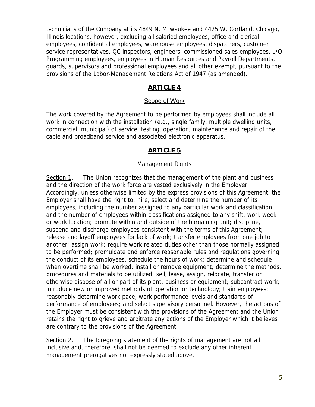technicians of the Company at its 4849 N. Milwaukee and 4425 W. Cortland, Chicago, Illinois locations, however, excluding all salaried employees, office and clerical employees, confidential employees, warehouse employees, dispatchers, customer service representatives, QC inspectors, engineers, commissioned sales employees, L/O Programming employees, employees in Human Resources and Payroll Departments, guards, supervisors and professional employees and all other exempt, pursuant to the provisions of the Labor-Management Relations Act of 1947 (as amended).

## **ARTICLE 4**

#### Scope of Work

The work covered by the Agreement to be performed by employees shall include all work in connection with the installation (e.g., single family, multiple dwelling units, commercial, municipal) of service, testing, operation, maintenance and repair of the cable and broadband service and associated electronic apparatus.

#### **ARTICLE 5**

#### Management Rights

Section 1. The Union recognizes that the management of the plant and business and the direction of the work force are vested exclusively in the Employer. Accordingly, unless otherwise limited by the express provisions of this Agreement, the Employer shall have the right to: hire, select and determine the number of its employees, including the number assigned to any particular work and classification and the number of employees within classifications assigned to any shift, work week or work location; promote within and outside of the bargaining unit; discipline, suspend and discharge employees consistent with the terms of this Agreement; release and layoff employees for lack of work; transfer employees from one job to another; assign work; require work related duties other than those normally assigned to be performed; promulgate and enforce reasonable rules and regulations governing the conduct of its employees, schedule the hours of work; determine and schedule when overtime shall be worked; install or remove equipment; determine the methods, procedures and materials to be utilized; sell, lease, assign, relocate, transfer or otherwise dispose of all or part of its plant, business or equipment; subcontract work; introduce new or improved methods of operation or technology; train employees; reasonably determine work pace, work performance levels and standards of performance of employees; and select supervisory personnel. However, the actions of the Employer must be consistent with the provisions of the Agreement and the Union retains the right to grieve and arbitrate any actions of the Employer which it believes are contrary to the provisions of the Agreement.

Section 2. The foregoing statement of the rights of management are not all inclusive and, therefore, shall not be deemed to exclude any other inherent management prerogatives not expressly stated above.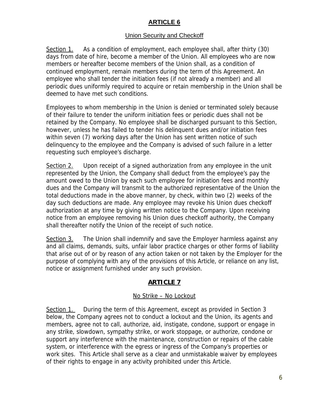## **ARTICLE 6**

#### Union Security and Checkoff

Section 1. As a condition of employment, each employee shall, after thirty (30) days from date of hire, become a member of the Union. All employees who are now members or hereafter become members of the Union shall, as a condition of continued employment, remain members during the term of this Agreement. An employee who shall tender the initiation fees (if not already a member) and all periodic dues uniformly required to acquire or retain membership in the Union shall be deemed to have met such conditions.

Employees to whom membership in the Union is denied or terminated solely because of their failure to tender the uniform initiation fees or periodic dues shall not be retained by the Company. No employee shall be discharged pursuant to this Section, however, unless he has failed to tender his delinquent dues and/or initiation fees within seven (7) working days after the Union has sent written notice of such delinquency to the employee and the Company is advised of such failure in a letter requesting such employee's discharge.

Section 2. Upon receipt of a signed authorization from any employee in the unit represented by the Union, the Company shall deduct from the employee's pay the amount owed to the Union by each such employee for initiation fees and monthly dues and the Company will transmit to the authorized representative of the Union the total deductions made in the above manner, by check, within two (2) weeks of the day such deductions are made. Any employee may revoke his Union dues checkoff authorization at any time by giving written notice to the Company. Upon receiving notice from an employee removing his Union dues checkoff authority, the Company shall thereafter notify the Union of the receipt of such notice.

Section 3. The Union shall indemnify and save the Employer harmless against any and all claims, demands, suits, unfair labor practice charges or other forms of liability that arise out of or by reason of any action taken or not taken by the Employer for the purpose of complying with any of the provisions of this Article, or reliance on any list, notice or assignment furnished under any such provision.

## **ARTICLE 7**

#### No Strike – No Lockout

Section 1. During the term of this Agreement, except as provided in Section 3 below, the Company agrees not to conduct a lockout and the Union, its agents and members, agree not to call, authorize, aid, instigate, condone, support or engage in any strike, slowdown, sympathy strike, or work stoppage, or authorize, condone or support any interference with the maintenance, construction or repairs of the cable system, or interference with the egress or ingress of the Company's properties or work sites. This Article shall serve as a clear and unmistakable waiver by employees of their rights to engage in any activity prohibited under this Article.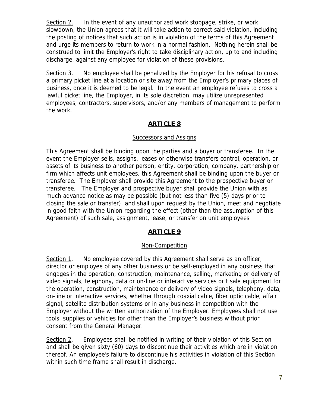Section 2. In the event of any unauthorized work stoppage, strike, or work slowdown, the Union agrees that it will take action to correct said violation, including the posting of notices that such action is in violation of the terms of this Agreement and urge its members to return to work in a normal fashion. Nothing herein shall be construed to limit the Employer's right to take disciplinary action, up to and including discharge, against any employee for violation of these provisions.

Section 3. No employee shall be penalized by the Employer for his refusal to cross a primary picket line at a location or site away from the Employer's primary places of business, once it is deemed to be legal. In the event an employee refuses to cross a lawful picket line, the Employer, in its sole discretion, may utilize unrepresented employees, contractors, supervisors, and/or any members of management to perform the work.

## **ARTICLE 8**

#### Successors and Assigns

This Agreement shall be binding upon the parties and a buyer or transferee. In the event the Employer sells, assigns, leases or otherwise transfers control, operation, or assets of its business to another person, entity, corporation, company, partnership or firm which affects unit employees, this Agreement shall be binding upon the buyer or transferee. The Employer shall provide this Agreement to the prospective buyer or transferee. The Employer and prospective buyer shall provide the Union with as much advance notice as may be possible (but not less than five (5) days prior to closing the sale or transfer), and shall upon request by the Union, meet and negotiate in good faith with the Union regarding the effect (other than the assumption of this Agreement) of such sale, assignment, lease, or transfer on unit employees

#### **ARTICLE 9**

#### Non-Competition

Section 1. No employee covered by this Agreement shall serve as an officer, director or employee of any other business or be self-employed in any business that engages in the operation, construction, maintenance, selling, marketing or delivery of video signals, telephony, data or on-line or interactive services or t sale equipment for the operation, construction, maintenance or delivery of video signals, telephony, data, on-line or interactive services, whether through coaxial cable, fiber optic cable, affair signal, satellite distribution systems or in any business in competition with the Employer without the written authorization of the Employer. Employees shall not use tools, supplies or vehicles for other than the Employer's business without prior consent from the General Manager.

Section 2. Employees shall be notified in writing of their violation of this Section and shall be given sixty (60) days to discontinue their activities which are in violation thereof. An employee's failure to discontinue his activities in violation of this Section within such time frame shall result in discharge.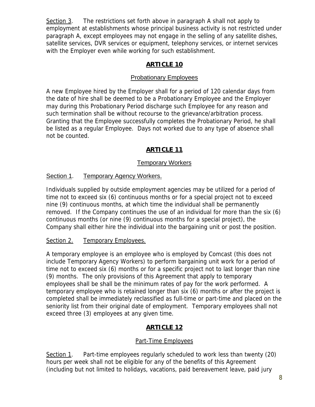Section 3. The restrictions set forth above in paragraph A shall not apply to employment at establishments whose principal business activity is not restricted under paragraph A, except employees may not engage in the selling of any satellite dishes, satellite services, DVR services or equipment, telephony services, or internet services with the Employer even while working for such establishment.

## **ARTICLE 10**

## Probationary Employees

A new Employee hired by the Employer shall for a period of 120 calendar days from the date of hire shall be deemed to be a Probationary Employee and the Employer may during this Probationary Period discharge such Employee for any reason and such termination shall be without recourse to the grievance/arbitration process. Granting that the Employee successfully completes the Probationary Period, he shall be listed as a regular Employee. Days not worked due to any type of absence shall not be counted.

# **ARTICLE 11**

## Temporary Workers

## Section 1. Temporary Agency Workers.

Individuals supplied by outside employment agencies may be utilized for a period of time not to exceed six (6) continuous months or for a special project not to exceed nine (9) continuous months, at which time the individual shall be permanently removed. If the Company continues the use of an individual for more than the six (6) continuous months (or nine (9) continuous months for a special project), the Company shall either hire the individual into the bargaining unit or post the position.

#### Section 2. Temporary Employees.

A temporary employee is an employee who is employed by Comcast (this does not include Temporary Agency Workers) to perform bargaining unit work for a period of time not to exceed six (6) months or for a specific project not to last longer than nine (9) months. The only provisions of this Agreement that apply to temporary employees shall be shall be the minimum rates of pay for the work performed. A temporary employee who is retained longer than six (6) months or after the project is completed shall be immediately reclassified as full-time or part-time and placed on the seniority list from their original date of employment. Temporary employees shall not exceed three (3) employees at any given time.

# **ARTICLE 12**

## Part-Time Employees

Section 1. Part-time employees regularly scheduled to work less than twenty (20) hours per week shall not be eligible for any of the benefits of this Agreement (including but not limited to holidays, vacations, paid bereavement leave, paid jury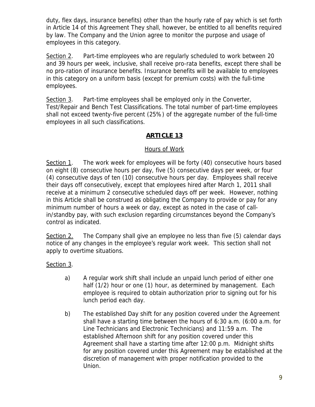duty, flex days, insurance benefits) other than the hourly rate of pay which is set forth in Article 14 of this Agreement They shall, however, be entitled to all benefits required by law. The Company and the Union agree to monitor the purpose and usage of employees in this category.

Section 2. Part-time employees who are regularly scheduled to work between 20 and 39 hours per week, inclusive, shall receive pro-rata benefits, except there shall be no pro-ration of insurance benefits. Insurance benefits will be available to employees in this category on a uniform basis (except for premium costs) with the full-time employees.

Section 3. Part-time employees shall be employed only in the Converter, Test/Repair and Bench Test Classifications. The total number of part-time employees shall not exceed twenty-five percent (25%) of the aggregate number of the full-time employees in all such classifications.

## **ARTICLE 13**

#### Hours of Work

Section 1. The work week for employees will be forty (40) consecutive hours based on eight (8) consecutive hours per day, five (5) consecutive days per week, or four (4) consecutive days of ten (10) consecutive hours per day. Employees shall receive their days off consecutively, except that employees hired after March 1, 2011 shall receive at a minimum 2 consecutive scheduled days off per week. However, nothing in this Article shall be construed as obligating the Company to provide or pay for any minimum number of hours a week or day, except as noted in the case of callin/standby pay, with such exclusion regarding circumstances beyond the Company's control as indicated.

Section 2. The Company shall give an employee no less than five (5) calendar days notice of any changes in the employee's regular work week. This section shall not apply to overtime situations.

#### Section 3.

- a) A regular work shift shall include an unpaid lunch period of either one half (1/2) hour or one (1) hour, as determined by management. Each employee is required to obtain authorization prior to signing out for his lunch period each day.
- b) The established Day shift for any position covered under the Agreement shall have a starting time between the hours of 6:30 a.m. (6:00 a.m. for Line Technicians and Electronic Technicians) and 11:59 a.m. The established Afternoon shift for any position covered under this Agreement shall have a starting time after 12:00 p.m. Midnight shifts for any position covered under this Agreement may be established at the discretion of management with proper notification provided to the Union.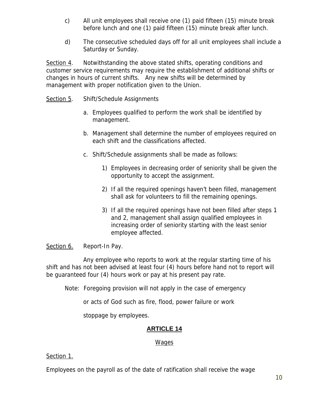- c) All unit employees shall receive one (1) paid fifteen (15) minute break before lunch and one (1) paid fifteen (15) minute break after lunch.
- d) The consecutive scheduled days off for all unit employees shall include a Saturday or Sunday.

Section 4. Notwithstanding the above stated shifts, operating conditions and customer service requirements may require the establishment of additional shifts or changes in hours of current shifts. Any new shifts will be determined by management with proper notification given to the Union.

#### Section 5. Shift/Schedule Assignments

- a. Employees qualified to perform the work shall be identified by management.
- b. Management shall determine the number of employees required on each shift and the classifications affected.
- c. Shift/Schedule assignments shall be made as follows:
	- 1) Employees in decreasing order of seniority shall be given the opportunity to accept the assignment.
	- 2) If all the required openings haven't been filled, management shall ask for volunteers to fill the remaining openings.
	- 3) If all the required openings have not been filled after steps 1 and 2, management shall assign qualified employees in increasing order of seniority starting with the least senior employee affected.

#### Section 6. Report-In Pay.

 Any employee who reports to work at the regular starting time of his shift and has not been advised at least four (4) hours before hand not to report will be guaranteed four (4) hours work or pay at his present pay rate.

Note: Foregoing provision will not apply in the case of emergency

or acts of God such as fire, flood, power failure or work

stoppage by employees.

## **ARTICLE 14**

#### Wages

#### Section 1.

Employees on the payroll as of the date of ratification shall receive the wage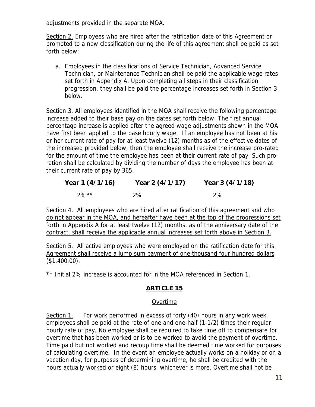adjustments provided in the separate MOA.

Section 2. Employees who are hired after the ratification date of this Agreement or promoted to a new classification during the life of this agreement shall be paid as set forth below:

a. Employees in the classifications of Service Technician, Advanced Service Technician, or Maintenance Technician shall be paid the applicable wage rates set forth in Appendix A. Upon completing all steps in their classification progression, they shall be paid the percentage increases set forth in Section 3 below.

Section 3. All employees identified in the MOA shall receive the following percentage increase added to their base pay on the dates set forth below. The first annual percentage increase is applied after the agreed wage adjustments shown in the MOA have first been applied to the base hourly wage. If an employee has not been at his or her current rate of pay for at least twelve (12) months as of the effective dates of the increased provided below, then the employee shall receive the increase pro-rated for the amount of time the employee has been at their current rate of pay. Such proration shall be calculated by dividing the number of days the employee has been at their current rate of pay by 365.

| Year 1 (4/1/16) | Year 2 (4/1/17) | Year 3 (4/1/18) |
|-----------------|-----------------|-----------------|
| $2\%$ **        | 2%              | 2%              |

Section 4. All employees who are hired after ratification of this agreement and who do not appear in the MOA, and hereafter have been at the top of the progressions set forth in Appendix A for at least twelve (12) months, as of the anniversary date of the contract, shall receive the applicable annual increases set forth above in Section 3.

Section 5. All active employees who were employed on the ratification date for this Agreement shall receive a lump sum payment of one thousand four hundred dollars  $$1,400.00$ ).

\*\* Initial 2% increase is accounted for in the MOA referenced in Section 1.

## **ARTICLE 15**

#### Overtime

Section 1. For work performed in excess of forty (40) hours in any work week, employees shall be paid at the rate of one and one-half (1-1/2) times their regular hourly rate of pay. No employee shall be required to take time off to compensate for overtime that has been worked or is to be worked to avoid the payment of overtime. Time paid but not worked and recoup time shall be deemed time worked for purposes of calculating overtime. In the event an employee actually works on a holiday or on a vacation day, for purposes of determining overtime, he shall be credited with the hours actually worked or eight (8) hours, whichever is more. Overtime shall not be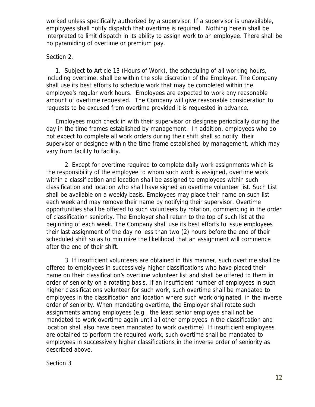worked unless specifically authorized by a supervisor. If a supervisor is unavailable, employees shall notify dispatch that overtime is required. Nothing herein shall be interpreted to limit dispatch in its ability to assign work to an employee. There shall be no pyramiding of overtime or premium pay.

#### Section 2.

1. Subject to Article 13 (Hours of Work), the scheduling of all working hours, including overtime, shall be within the sole discretion of the Employer. The Company shall use its best efforts to schedule work that may be completed within the employee's regular work hours. Employees are expected to work any reasonable amount of overtime requested. The Company will give reasonable consideration to requests to be excused from overtime provided it is requested in advance.

Employees much check in with their supervisor or designee periodically during the day in the time frames established by management. In addition, employees who do not expect to complete all work orders during their shift shall so notify their supervisor or designee within the time frame established by management, which may vary from facility to facility.

2. Except for overtime required to complete daily work assignments which is the responsibility of the employee to whom such work is assigned, overtime work within a classification and location shall be assigned to employees within such classification and location who shall have signed an overtime volunteer list. Such List shall be available on a weekly basis. Employees may place their name on such list each week and may remove their name by notifying their supervisor. Overtime opportunities shall be offered to such volunteers by rotation, commencing in the order of classification seniority. The Employer shall return to the top of such list at the beginning of each week. The Company shall use its best efforts to issue employees their last assignment of the day no less than two (2) hours before the end of their scheduled shift so as to minimize the likelihood that an assignment will commence after the end of their shift.

3. If insufficient volunteers are obtained in this manner, such overtime shall be offered to employees in successively higher classifications who have placed their name on their classification's overtime volunteer list and shall be offered to them in order of seniority on a rotating basis. If an insufficient number of employees in such higher classifications volunteer for such work, such overtime shall be mandated to employees in the classification and location where such work originated, in the inverse order of seniority. When mandating overtime, the Employer shall rotate such assignments among employees (e.g., the least senior employee shall not be mandated to work overtime again until all other employees in the classification and location shall also have been mandated to work overtime). If insufficient employees are obtained to perform the required work, such overtime shall be mandated to employees in successively higher classifications in the inverse order of seniority as described above.

#### Section 3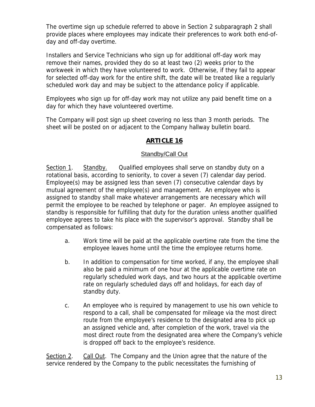The overtime sign up schedule referred to above in Section 2 subparagraph 2 shall provide places where employees may indicate their preferences to work both end-ofday and off-day overtime.

Installers and Service Technicians who sign up for additional off-day work may remove their names, provided they do so at least two (2) weeks prior to the workweek in which they have volunteered to work. Otherwise, if they fail to appear for selected off-day work for the entire shift, the date will be treated like a regularly scheduled work day and may be subject to the attendance policy if applicable.

Employees who sign up for off-day work may not utilize any paid benefit time on a day for which they have volunteered overtime.

The Company will post sign up sheet covering no less than 3 month periods. The sheet will be posted on or adjacent to the Company hallway bulletin board.

## **ARTICLE 16**

#### Standby/Call Out

Section 1. Standby. Qualified employees shall serve on standby duty on a rotational basis, according to seniority, to cover a seven (7) calendar day period. Employee(s) may be assigned less than seven (7) consecutive calendar days by mutual agreement of the employee(s) and management. An employee who is assigned to standby shall make whatever arrangements are necessary which will permit the employee to be reached by telephone or pager. An employee assigned to standby is responsible for fulfilling that duty for the duration unless another qualified employee agrees to take his place with the supervisor's approval. Standby shall be compensated as follows:

- a. Work time will be paid at the applicable overtime rate from the time the employee leaves home until the time the employee returns home.
- b. In addition to compensation for time worked, if any, the employee shall also be paid a minimum of one hour at the applicable overtime rate on regularly scheduled work days, and two hours at the applicable overtime rate on regularly scheduled days off and holidays, for each day of standby duty.
- c. An employee who is required by management to use his own vehicle to respond to a call, shall be compensated for mileage via the most direct route from the employee's residence to the designated area to pick up an assigned vehicle and, after completion of the work, travel via the most direct route from the designated area where the Company's vehicle is dropped off back to the employee's residence.

Section 2. Call Out. The Company and the Union agree that the nature of the service rendered by the Company to the public necessitates the furnishing of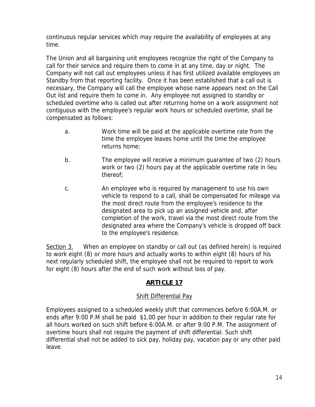continuous regular services which may require the availability of employees at any time.

The Union and all bargaining unit employees recognize the right of the Company to call for their service and require them to come in at any time, day or night. The Company will not call out employees unless it has first utilized available employees on Standby from that reporting facility. Once it has been established that a call out is necessary, the Company will call the employee whose name appears next on the Call Out list and require them to come in. Any employee not assigned to standby or scheduled overtime who is called out after returning home on a work assignment not contiguous with the employee's regular work hours or scheduled overtime, shall be compensated as follows:

- a. Work time will be paid at the applicable overtime rate from the time the employee leaves home until the time the employee returns home;
- b. The employee will receive a minimum guarantee of two (2) hours work or two (2) hours pay at the applicable overtime rate in lieu thereof;
- c. An employee who is required by management to use his own vehicle to respond to a call, shall be compensated for mileage via the most direct route from the employee's residence to the designated area to pick up an assigned vehicle and, after completion of the work, travel via the most direct route from the designated area where the Company's vehicle is dropped off back to the employee's residence.

Section 3. When an employee on standby or call out (as defined herein) is required to work eight (8) or more hours and actually works to within eight (8) hours of his next regularly scheduled shift, the employee shall not be required to report to work for eight (8) hours after the end of such work without loss of pay.

# **ARTICLE 17**

## Shift Differential Pay

Employees assigned to a scheduled weekly shift that commences before 6:00A.M. or ends after 9:00 P.M shall be paid \$1.00 per hour in addition to their regular rate for all hours worked on such shift before 6:00A.M. or after 9:00 P.M. The assignment of overtime hours shall not require the payment of shift differential. Such shift differential shall not be added to sick pay, holiday pay, vacation pay or any other paid leave.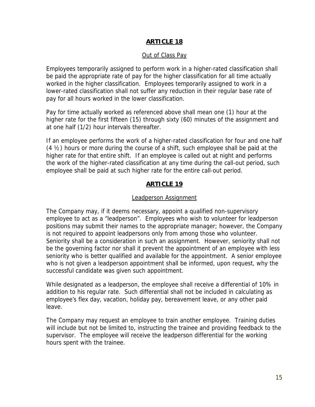#### **ARTICLE 18**

#### Out of Class Pay

Employees temporarily assigned to perform work in a higher-rated classification shall be paid the appropriate rate of pay for the higher classification for all time actually worked in the higher classification. Employees temporarily assigned to work in a lower-rated classification shall not suffer any reduction in their regular base rate of pay for all hours worked in the lower classification.

Pay for time actually worked as referenced above shall mean one (1) hour at the higher rate for the first fifteen (15) through sixty (60) minutes of the assignment and at one half (1/2) hour intervals thereafter.

If an employee performs the work of a higher-rated classification for four and one half (4 ½) hours or more during the course of a shift, such employee shall be paid at the higher rate for that entire shift. If an employee is called out at night and performs the work of the higher-rated classification at any time during the call-out period, such employee shall be paid at such higher rate for the entire call-out period.

#### **ARTICLE 19**

#### Leadperson Assignment

The Company may, if it deems necessary, appoint a qualified non-supervisory employee to act as a "leadperson". Employees who wish to volunteer for leadperson positions may submit their names to the appropriate manager; however, the Company is not required to appoint leadpersons only from among those who volunteer. Seniority shall be a consideration in such an assignment. However, seniority shall not be the governing factor nor shall it prevent the appointment of an employee with less seniority who is better qualified and available for the appointment. A senior employee who is not given a leadperson appointment shall be informed, upon request, why the successful candidate was given such appointment.

While designated as a leadperson, the employee shall receive a differential of 10% in addition to his regular rate. Such differential shall not be included in calculating as employee's flex day, vacation, holiday pay, bereavement leave, or any other paid leave.

The Company may request an employee to train another employee. Training duties will include but not be limited to, instructing the trainee and providing feedback to the supervisor. The employee will receive the leadperson differential for the working hours spent with the trainee.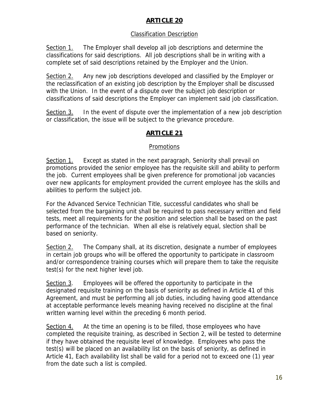## **ARTICLE 20**

## Classification Description

Section 1. The Employer shall develop all job descriptions and determine the classifications for said descriptions. All job descriptions shall be in writing with a complete set of said descriptions retained by the Employer and the Union.

Section 2. Any new job descriptions developed and classified by the Employer or the reclassification of an existing job description by the Employer shall be discussed with the Union. In the event of a dispute over the subject job description or classifications of said descriptions the Employer can implement said job classification.

Section 3. In the event of dispute over the implementation of a new job description or classification, the issue will be subject to the grievance procedure.

## **ARTICLE 21**

## Promotions

Section 1. Except as stated in the next paragraph, Seniority shall prevail on promotions provided the senior employee has the requisite skill and ability to perform the job. Current employees shall be given preference for promotional job vacancies over new applicants for employment provided the current employee has the skills and abilities to perform the subject job.

For the Advanced Service Technician Title, successful candidates who shall be selected from the bargaining unit shall be required to pass necessary written and field tests, meet all requirements for the position and selection shall be based on the past performance of the technician. When all else is relatively equal, slection shall be based on seniority.

Section 2. The Company shall, at its discretion, designate a number of employees in certain job groups who will be offered the opportunity to participate in classroom and/or correspondence training courses which will prepare them to take the requisite test(s) for the next higher level job.

Section 3. Employees will be offered the opportunity to participate in the designated requisite training on the basis of seniority as defined in Article 41 of this Agreement, and must be performing all job duties, including having good attendance at acceptable performance levels meaning having received no discipline at the final written warning level within the preceding 6 month period.

Section 4. At the time an opening is to be filled, those employees who have completed the requisite training, as described in Section 2, will be tested to determine if they have obtained the requisite level of knowledge. Employees who pass the test(s) will be placed on an availability list on the basis of seniority, as defined in Article 41, Each availability list shall be valid for a period not to exceed one (1) year from the date such a list is compiled.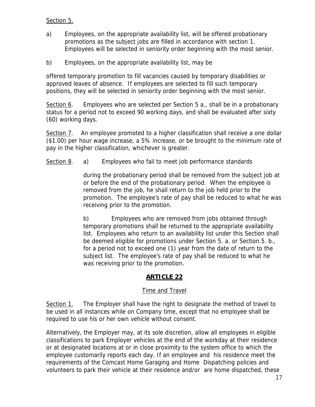## Section 5.

- a) Employees, on the appropriate availability list, will be offered probationary promotions as the subject jobs are filled in accordance with section 1. Employees will be selected in seniority order beginning with the most senior.
- b) Employees, on the appropriate availability list, may be

offered temporary promotion to fill vacancies caused by temporary disabilities or approved leaves of absence. If employees are selected to fill such temporary positions, they will be selected in seniority order beginning with the most senior.

Section 6. Employees who are selected per Section 5 a., shall be in a probationary status for a period not to exceed 90 working days, and shall be evaluated after sixty (60) working days.

Section 7. An employee promoted to a higher classification shall receive a one dollar (\$1.00) per hour wage increase, a 5% increase, or be brought to the minimum rate of pay in the higher classification, whichever is greater.

#### Section 8. a) Employees who fail to meet job performance standards

during the probationary period shall be removed from the subject job at or before the end of the probationary period. When the employee is removed from the job, he shall return to the job held prior to the promotion. The employee's rate of pay shall be reduced to what he was receiving prior to the promotion.

b) Employees who are removed from jobs obtained through temporary promotions shall be returned to the appropriate availability list. Employees who return to an availability list under this Section shall be deemed eligible for promotions under Section 5. a. or Section.5. b., for a period not to exceed one (1) year from the date of return to the subject list. The employee's rate of pay shall be reduced to what he was receiving prior to the promotion.

## **ARTICLE 22**

#### **Time and Travel**

Section 1. The Employer shall have the right to designate the method of travel to be used in all instances while on Company time, except that no employee shall be required to use his or her own vehicle without consent.

Alternatively, the Employer may, at its sole discretion, allow all employees in eligible classifications to park Employer vehicles at the end of the workday at their residence or at designated locations at or in close proximity to the system office to which the employee customarily reports each day. If an employee and his residence meet the requirements of the Comcast Home Garaging and Home Dispatching policies and volunteers to park their vehicle at their residence and/or are home dispatched, these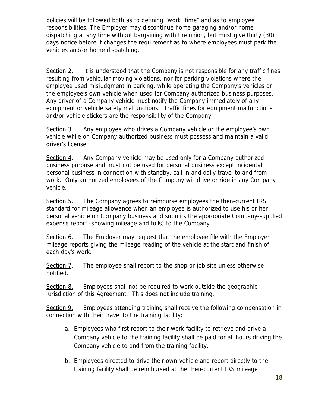policies will be followed both as to defining "work time" and as to employee responsibilities. The Employer may discontinue home garaging and/or home dispatching at any time without bargaining with the union, but must give thirty (30) days notice before it changes the requirement as to where employees must park the vehicles and/or home dispatching.

Section 2. It is understood that the Company is not responsible for any traffic fines resulting from vehicular moving violations, nor for parking violations where the employee used misjudgment in parking, while operating the Company's vehicles or the employee's own vehicle when used for Company authorized business purposes. Any driver of a Company vehicle must notify the Company immediately of any equipment or vehicle safety malfunctions. Traffic fines for equipment malfunctions and/or vehicle stickers are the responsibility of the Company.

Section 3. Any employee who drives a Company vehicle or the employee's own vehicle while on Company authorized business must possess and maintain a valid driver's license.

Section 4. Any Company vehicle may be used only for a Company authorized business purpose and must not be used for personal business except incidental personal business in connection with standby, call-in and daily travel to and from work. Only authorized employees of the Company will drive or ride in any Company vehicle.

Section 5. The Company agrees to reimburse employees the then-current IRS standard for mileage allowance when an employee is authorized to use his or her personal vehicle on Company business and submits the appropriate Company-supplied expense report (showing mileage and tolls) to the Company.

Section 6. The Employer may request that the employee file with the Employer mileage reports giving the mileage reading of the vehicle at the start and finish of each day's work.

Section 7. The employee shall report to the shop or job site unless otherwise notified.

Section 8. Employees shall not be required to work outside the geographic jurisdiction of this Agreement. This does not include training.

Section 9. Employees attending training shall receive the following compensation in connection with their travel to the training facility:

- a. Employees who first report to their work facility to retrieve and drive a Company vehicle to the training facility shall be paid for all hours driving the Company vehicle to and from the training facility.
- b. Employees directed to drive their own vehicle and report directly to the training facility shall be reimbursed at the then-current IRS mileage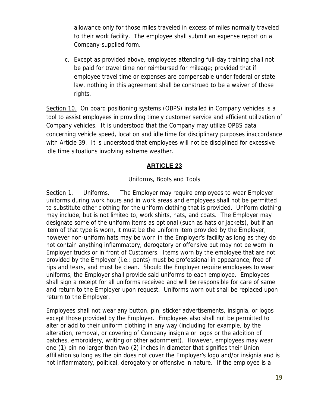allowance only for those miles traveled in excess of miles normally traveled to their work facility. The employee shall submit an expense report on a Company-supplied form.

c. Except as provided above, employees attending full-day training shall not be paid for travel time nor reimbursed for mileage; provided that if employee travel time or expenses are compensable under federal or state law, nothing in this agreement shall be construed to be a waiver of those rights.

Section 10. On board positioning systems (OBPS) installed in Company vehicles is a tool to assist employees in providing timely customer service and efficient utilization of Company vehicles. It is understood that the Company may utilize OPBS data concerning vehicle speed, location and idle time for disciplinary purposes inaccordance with Article 39. It is understood that employees will not be disciplined for excessive idle time situations involving extreme weather.

## **ARTICLE 23**

#### Uniforms, Boots and Tools

Section 1. Uniforms. The Employer may require employees to wear Employer uniforms during work hours and in work areas and employees shall not be permitted to substitute other clothing for the uniform clothing that is provided. Uniform clothing may include, but is not limited to, work shirts, hats, and coats. The Employer may designate some of the uniform items as optional (such as hats or jackets), but if an item of that type is worn, it must be the uniform item provided by the Employer, however non-uniform hats may be worn in the Employer's facility as long as they do not contain anything inflammatory, derogatory or offensive but may not be worn in Employer trucks or in front of Customers. Items worn by the employee that are not provided by the Employer (i.e.: pants) must be professional in appearance, free of rips and tears, and must be clean. Should the Employer require employees to wear uniforms, the Employer shall provide said uniforms to each employee. Employees shall sign a receipt for all uniforms received and will be responsible for care of same and return to the Employer upon request. Uniforms worn out shall be replaced upon return to the Employer.

Employees shall not wear any button, pin, sticker advertisements, insignia, or logos except those provided by the Employer. Employees also shall not be permitted to alter or add to their uniform clothing in any way (including for example, by the alteration, removal, or covering of Company insignia or logos or the addition of patches, embroidery, writing or other adornment). However, employees may wear one (1) pin no larger than two (2) inches in diameter that signifies their Union affiliation so long as the pin does not cover the Employer's logo and/or insignia and is not inflammatory, political, derogatory or offensive in nature. If the employee is a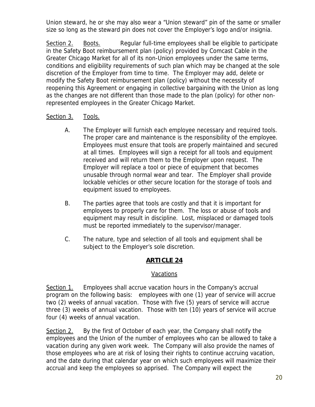Union steward, he or she may also wear a "Union steward" pin of the same or smaller size so long as the steward pin does not cover the Employer's logo and/or insignia.

Section 2. Boots. Regular full-time employees shall be eligible to participate in the Safety Boot reimbursement plan (policy) provided by Comcast Cable in the Greater Chicago Market for all of its non-Union employees under the same terms, conditions and eligibility requirements of such plan which may be changed at the sole discretion of the Employer from time to time. The Employer may add, delete or modify the Safety Boot reimbursement plan (policy) without the necessity of reopening this Agreement or engaging in collective bargaining with the Union as long as the changes are not different than those made to the plan (policy) for other nonrepresented employees in the Greater Chicago Market.

## Section 3. Tools.

- A. The Employer will furnish each employee necessary and required tools. The proper care and maintenance is the responsibility of the employee. Employees must ensure that tools are properly maintained and secured at all times. Employees will sign a receipt for all tools and equipment received and will return them to the Employer upon request. The Employer will replace a tool or piece of equipment that becomes unusable through normal wear and tear. The Employer shall provide lockable vehicles or other secure location for the storage of tools and equipment issued to employees.
- B. The parties agree that tools are costly and that it is important for employees to properly care for them. The loss or abuse of tools and equipment may result in discipline. Lost, misplaced or damaged tools must be reported immediately to the supervisor/manager.
- C. The nature, type and selection of all tools and equipment shall be subject to the Employer's sole discretion.

## **ARTICLE 24**

#### Vacations

Section 1. Employees shall accrue vacation hours in the Company's accrual program on the following basis: employees with one (1) year of service will accrue two (2) weeks of annual vacation. Those with five (5) years of service will accrue three (3) weeks of annual vacation. Those with ten (10) years of service will accrue four (4) weeks of annual vacation.

Section 2. By the first of October of each year, the Company shall notify the employees and the Union of the number of employees who can be allowed to take a vacation during any given work week. The Company will also provide the names of those employees who are at risk of losing their rights to continue accruing vacation, and the date during that calendar year on which such employees will maximize their accrual and keep the employees so apprised. The Company will expect the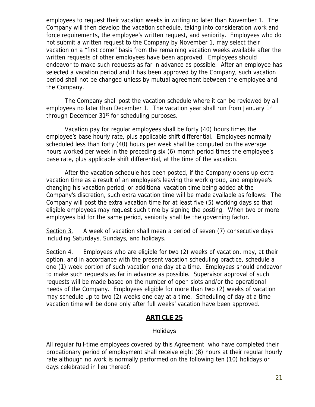employees to request their vacation weeks in writing no later than November 1. The Company will then develop the vacation schedule, taking into consideration work and force requirements, the employee's written request, and seniority. Employees who do not submit a written request to the Company by November 1, may select their vacation on a "first come" basis from the remaining vacation weeks available after the written requests of other employees have been approved. Employees should endeavor to make such requests as far in advance as possible. After an employee has selected a vacation period and it has been approved by the Company, such vacation period shall not be changed unless by mutual agreement between the employee and the Company.

 The Company shall post the vacation schedule where it can be reviewed by all employees no later than December 1. The vacation year shall run from January 1<sup>st</sup> through December 31<sup>st</sup> for scheduling purposes.

 Vacation pay for regular employees shall be forty (40) hours times the employee's base hourly rate, plus applicable shift differential. Employees normally scheduled less than forty (40) hours per week shall be computed on the average hours worked per week in the preceding six (6) month period times the employee's base rate, plus applicable shift differential, at the time of the vacation.

 After the vacation schedule has been posted, if the Company opens up extra vacation time as a result of an employee's leaving the work group, and employee's changing his vacation period, or additional vacation time being added at the Company's discretion, such extra vacation time will be made available as follows: The Company will post the extra vacation time for at least five (5) working days so that eligible employees may request such time by signing the posting. When two or more employees bid for the same period, seniority shall be the governing factor.

Section 3. A week of vacation shall mean a period of seven (7) consecutive days including Saturdays, Sundays, and holidays.

Section 4. Employees who are eligible for two (2) weeks of vacation, may, at their option, and in accordance with the present vacation scheduling practice, schedule a one (1) week portion of such vacation one day at a time. Employees should endeavor to make such requests as far in advance as possible. Supervisor approval of such requests will be made based on the number of open slots and/or the operational needs of the Company. Employees eligible for more than two (2) weeks of vacation may schedule up to two (2) weeks one day at a time. Scheduling of day at a time vacation time will be done only after full weeks' vacation have been approved.

#### **ARTICLE 25**

#### Holidays

All regular full-time employees covered by this Agreement who have completed their probationary period of employment shall receive eight (8) hours at their regular hourly rate although no work is normally performed on the following ten (10) holidays or days celebrated in lieu thereof: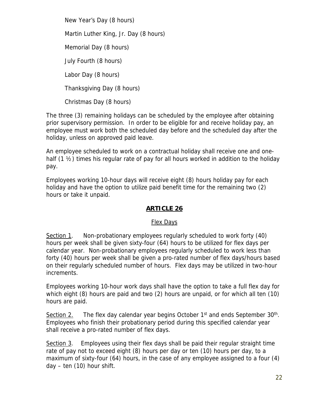New Year's Day (8 hours) Martin Luther King, Jr. Day (8 hours) Memorial Day (8 hours) July Fourth (8 hours) Labor Day (8 hours) Thanksgiving Day (8 hours) Christmas Day (8 hours)

The three (3) remaining holidays can be scheduled by the employee after obtaining prior supervisory permission. In order to be eligible for and receive holiday pay, an employee must work both the scheduled day before and the scheduled day after the holiday, unless on approved paid leave.

An employee scheduled to work on a contractual holiday shall receive one and onehalf  $(1 \frac{1}{2})$  times his regular rate of pay for all hours worked in addition to the holiday pay.

Employees working 10-hour days will receive eight (8) hours holiday pay for each holiday and have the option to utilize paid benefit time for the remaining two (2) hours or take it unpaid.

## **ARTICLE 26**

#### Flex Days

Section 1. Non-probationary employees regularly scheduled to work forty (40) hours per week shall be given sixty-four (64) hours to be utilized for flex days per calendar year. Non-probationary employees regularly scheduled to work less than forty (40) hours per week shall be given a pro-rated number of flex days/hours based on their regularly scheduled number of hours. Flex days may be utilized in two-hour increments.

Employees working 10-hour work days shall have the option to take a full flex day for which eight (8) hours are paid and two (2) hours are unpaid, or for which all ten (10) hours are paid.

Section 2. The flex day calendar year begins October  $1<sup>st</sup>$  and ends September  $30<sup>th</sup>$ . Employees who finish their probationary period during this specified calendar year shall receive a pro-rated number of flex days.

Section 3. Employees using their flex days shall be paid their regular straight time rate of pay not to exceed eight (8) hours per day or ten (10) hours per day, to a maximum of sixty-four (64) hours, in the case of any employee assigned to a four (4) day – ten (10) hour shift.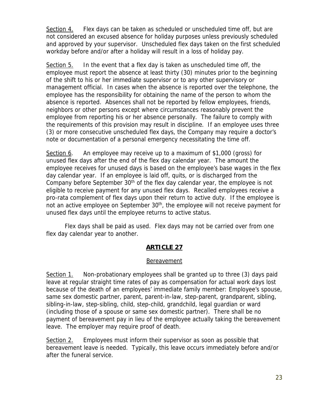Section 4. Flex days can be taken as scheduled or unscheduled time off, but are not considered an excused absence for holiday purposes unless previously scheduled and approved by your supervisor. Unscheduled flex days taken on the first scheduled workday before and/or after a holiday will result in a loss of holiday pay.

Section 5. In the event that a flex day is taken as unscheduled time off, the employee must report the absence at least thirty (30) minutes prior to the beginning of the shift to his or her immediate supervisor or to any other supervisory or management official. In cases when the absence is reported over the telephone, the employee has the responsibility for obtaining the name of the person to whom the absence is reported. Absences shall not be reported by fellow employees, friends, neighbors or other persons except where circumstances reasonably prevent the employee from reporting his or her absence personally. The failure to comply with the requirements of this provision may result in discipline. If an employee uses three (3) or more consecutive unscheduled flex days, the Company may require a doctor's note or documentation of a personal emergency necessitating the time off.

Section 6. An employee may receive up to a maximum of \$1,000 (gross) for unused flex days after the end of the flex day calendar year. The amount the employee receives for unused days is based on the employee's base wages in the flex day calendar year. If an employee is laid off, quits, or is discharged from the Company before September  $30<sup>th</sup>$  of the flex day calendar year, the employee is not eligible to receive payment for any unused flex days. Recalled employees receive a pro-rata complement of flex days upon their return to active duty. If the employee is not an active employee on September 30<sup>th</sup>, the employee will not receive payment for unused flex days until the employee returns to active status.

 Flex days shall be paid as used. Flex days may not be carried over from one flex day calendar year to another.

## **ARTICLE 27**

#### **Bereavement**

Section 1. Non-probationary employees shall be granted up to three (3) days paid leave at regular straight time rates of pay as compensation for actual work days lost because of the death of an employees' immediate family member: Employee's spouse, same sex domestic partner, parent, parent-in-law, step-parent, grandparent, sibling, sibling-in-law, step-sibling, child, step-child, grandchild, legal guardian or ward (including those of a spouse or same sex domestic partner). There shall be no payment of bereavement pay in lieu of the employee actually taking the bereavement leave. The employer may require proof of death.

Section 2. Employees must inform their supervisor as soon as possible that bereavement leave is needed. Typically, this leave occurs immediately before and/or after the funeral service.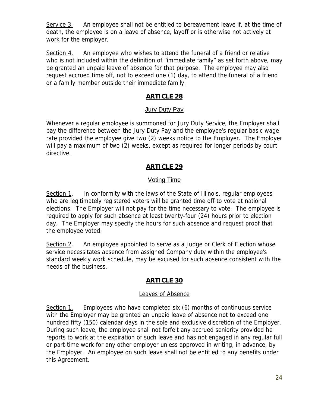Service 3. An employee shall not be entitled to bereavement leave if, at the time of death, the employee is on a leave of absence, layoff or is otherwise not actively at work for the employer.

Section 4. An employee who wishes to attend the funeral of a friend or relative who is not included within the definition of "immediate family" as set forth above, may be granted an unpaid leave of absence for that purpose. The employee may also request accrued time off, not to exceed one (1) day, to attend the funeral of a friend or a family member outside their immediate family.

## **ARTICLE 28**

#### Jury Duty Pay

Whenever a regular employee is summoned for Jury Duty Service, the Employer shall pay the difference between the Jury Duty Pay and the employee's regular basic wage rate provided the employee give two (2) weeks notice to the Employer. The Employer will pay a maximum of two (2) weeks, except as required for longer periods by court directive.

## **ARTICLE 29**

#### Voting Time

Section 1. In conformity with the laws of the State of Illinois, regular employees who are legitimately registered voters will be granted time off to vote at national elections. The Employer will not pay for the time necessary to vote. The employee is required to apply for such absence at least twenty-four (24) hours prior to election day. The Employer may specify the hours for such absence and request proof that the employee voted.

Section 2. An employee appointed to serve as a Judge or Clerk of Election whose service necessitates absence from assigned Company duty within the employee's standard weekly work schedule, may be excused for such absence consistent with the needs of the business.

#### **ARTICLE 30**

#### Leaves of Absence

Section 1. Employees who have completed six (6) months of continuous service with the Employer may be granted an unpaid leave of absence not to exceed one hundred fifty (150) calendar days in the sole and exclusive discretion of the Employer. During such leave, the employee shall not forfeit any accrued seniority provided he reports to work at the expiration of such leave and has not engaged in any regular full or part-time work for any other employer unless approved in writing, in advance, by the Employer. An employee on such leave shall not be entitled to any benefits under this Agreement.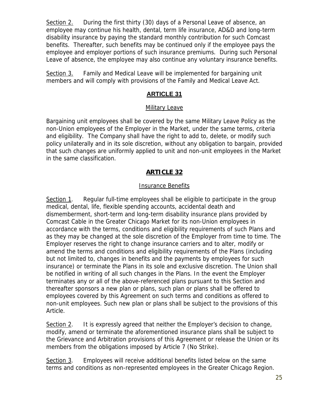Section 2. During the first thirty (30) days of a Personal Leave of absence, an employee may continue his health, dental, term life insurance, AD&D and long-term disability insurance by paying the standard monthly contribution for such Comcast benefits. Thereafter, such benefits may be continued only if the employee pays the employee and employer portions of such insurance premiums. During such Personal Leave of absence, the employee may also continue any voluntary insurance benefits.

Section 3. Family and Medical Leave will be implemented for bargaining unit members and will comply with provisions of the Family and Medical Leave Act.

## **ARTICLE 31**

#### Military Leave

Bargaining unit employees shall be covered by the same Military Leave Policy as the non-Union employees of the Employer in the Market, under the same terms, criteria and eligibility. The Company shall have the right to add to, delete, or modify such policy unilaterally and in its sole discretion, without any obligation to bargain, provided that such changes are uniformly applied to unit and non-unit employees in the Market in the same classification.

## **ARTICLE 32**

#### Insurance Benefits

Section 1. Regular full-time employees shall be eligible to participate in the group medical, dental, life, flexible spending accounts, accidental death and dismemberment, short-term and long-term disability insurance plans provided by Comcast Cable in the Greater Chicago Market for its non-Union employees in accordance with the terms, conditions and eligibility requirements of such Plans and as they may be changed at the sole discretion of the Employer from time to time. The Employer reserves the right to change insurance carriers and to alter, modify or amend the terms and conditions and eligibility requirements of the Plans (including but not limited to, changes in benefits and the payments by employees for such insurance) or terminate the Plans in its sole and exclusive discretion. The Union shall be notified in writing of all such changes in the Plans. In the event the Employer terminates any or all of the above-referenced plans pursuant to this Section and thereafter sponsors a new plan or plans, such plan or plans shall be offered to employees covered by this Agreement on such terms and conditions as offered to non-unit employees. Such new plan or plans shall be subject to the provisions of this Article.

Section 2. It is expressly agreed that neither the Employer's decision to change, modify, amend or terminate the aforementioned insurance plans shall be subject to the Grievance and Arbitration provisions of this Agreement or release the Union or its members from the obligations imposed by Article 7 (No Strike).

Section 3. Employees will receive additional benefits listed below on the same terms and conditions as non-represented employees in the Greater Chicago Region.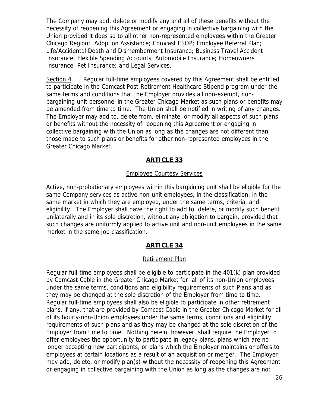The Company may add, delete or modify any and all of these benefits without the necessity of reopening this Agreement or engaging in collective bargaining with the Union provided it does so to all other non-represented employees within the Greater Chicago Region: Adoption Assistance; Comcast ESOP; Employee Referral Plan; Life/Accidental Death and Dismemberment Insurance; Business Travel Accident Insurance; Flexible Spending Accounts; Automobile Insurance; Homeowners Insurance; Pet Insurance; and Legal Services.

Section 4. Regular full-time employees covered by this Agreement shall be entitled to participate in the Comcast Post-Retirement Healthcare Stipend program under the same terms and conditions that the Employer provides all non-exempt, nonbargaining unit personnel in the Greater Chicago Market as such plans or benefits may be amended from time to time. The Union shall be notified in writing of any changes. The Employer may add to, delete from, eliminate, or modify all aspects of such plans or benefits without the necessity of reopening this Agreement or engaging in collective bargaining with the Union as long as the changes are not different than those made to such plans or benefits for other non-represented employees in the Greater Chicago Market.

## **ARTICLE 33**

#### Employee Courtesy Services

Active, non-probationary employees within this bargaining unit shall be eligible for the same Company services as active non-unit employees, in the classification, in the same market in which they are employed, under the same terms, criteria, and eligibility. The Employer shall have the right to add to, delete, or modify such benefit unilaterally and in its sole discretion, without any obligation to bargain, provided that such changes are uniformly applied to active unit and non-unit employees in the same market in the same job classification.

## **ARTICLE 34**

#### Retirement Plan

Regular full-time employees shall be eligible to participate in the 401(k) plan provided by Comcast Cable in the Greater Chicago Market for all of its non-Union employees under the same terms, conditions and eligibility requirements of such Plans and as they may be changed at the sole discretion of the Employer from time to time. Regular full-time employees shall also be eligible to participate in other retirement plans, if any, that are provided by Comcast Cable in the Greater Chicago Market for all of its hourly-non-Union employees under the same terms, conditions and eligibility requirements of such plans and as they may be changed at the sole discretion of the Employer from time to time. Nothing herein, however, shall require the Employer to offer employees the opportunity to participate in legacy plans, plans which are no longer accepting new participants, or plans which the Employer maintains or offers to employees at certain locations as a result of an acquisition or merger. The Employer may add, delete, or modify plan(s) without the necessity of reopening this Agreement or engaging in collective bargaining with the Union as long as the changes are not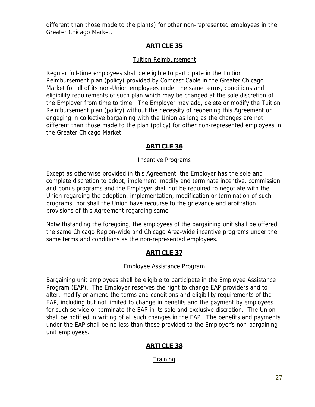different than those made to the plan(s) for other non-represented employees in the Greater Chicago Market.

## **ARTICLE 35**

## Tuition Reimbursement

Regular full-time employees shall be eligible to participate in the Tuition Reimbursement plan (policy) provided by Comcast Cable in the Greater Chicago Market for all of its non-Union employees under the same terms, conditions and eligibility requirements of such plan which may be changed at the sole discretion of the Employer from time to time. The Employer may add, delete or modify the Tuition Reimbursement plan (policy) without the necessity of reopening this Agreement or engaging in collective bargaining with the Union as long as the changes are not different than those made to the plan (policy) for other non-represented employees in the Greater Chicago Market.

## **ARTICLE 36**

#### Incentive Programs

Except as otherwise provided in this Agreement, the Employer has the sole and complete discretion to adopt, implement, modify and terminate incentive, commission and bonus programs and the Employer shall not be required to negotiate with the Union regarding the adoption, implementation, modification or termination of such programs; nor shall the Union have recourse to the grievance and arbitration provisions of this Agreement regarding same.

Notwithstanding the foregoing, the employees of the bargaining unit shall be offered the same Chicago Region-wide and Chicago Area-wide incentive programs under the same terms and conditions as the non-represented employees.

## **ARTICLE 37**

#### Employee Assistance Program

Bargaining unit employees shall be eligible to participate in the Employee Assistance Program (EAP). The Employer reserves the right to change EAP providers and to alter, modify or amend the terms and conditions and eligibility requirements of the EAP, including but not limited to change in benefits and the payment by employees for such service or terminate the EAP in its sole and exclusive discretion. The Union shall be notified in writing of all such changes in the EAP. The benefits and payments under the EAP shall be no less than those provided to the Employer's non-bargaining unit employees.

# **ARTICLE 38**

## **Training**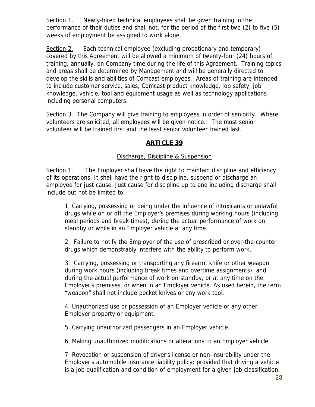Section 1. Newly-hired technical employees shall be given training in the performance of their duties and shall not, for the period of the first two (2) to five (5) weeks of employment be assigned to work alone.

Section 2. Each technical employee (excluding probationary and temporary) covered by this Agreement will be allowed a minimum of twenty-four (24) hours of training, annually, on Company time during the life of this Agreement. Training topics and areas shall be determined by Management and will be generally directed to develop the skills and abilities of Comcast employees. Areas of training are intended to include customer service, sales, Comcast product knowledge, job safety, job knowledge, vehicle, tool and equipment usage as well as technology applications including personal computers.

Section 3. The Company will give training to employees in order of seniority. Where volunteers are solicited, all employees will be given notice. The most senior volunteer will be trained first and the least senior volunteer trained last.

## **ARTICLE 39**

## Discharge, Discipline & Suspension

Section 1. The Employer shall have the right to maintain discipline and efficiency of its operations. It shall have the right to discipline, suspend or discharge an employee for just cause. Just cause for discipline up to and including discharge shall include but not be limited to:

1. Carrying, possessing or being under the influence of intoxicants or unlawful drugs while on or off the Employer's premises during working hours (including meal periods and break times), during the actual performance of work on standby or while in an Employer vehicle at any time.

2. Failure to notify the Employer of the use of prescribed or over-the-counter drugs which demonstrably interfere with the ability to perform work.

3. Carrying, possessing or transporting any firearm, knife or other weapon during work hours (including break times and overtime assignments), and during the actual performance of work on standby, or at any time on the Employer's premises, or when in an Employer vehicle. As used herein, the term "weapon" shall not include pocket knives or any work tool.

4. Unauthorized use or possession of an Employer vehicle or any other Employer property or equipment.

5. Carrying unauthorized passengers in an Employer vehicle.

6. Making unauthorized modifications or alterations to an Employer vehicle.

7. Revocation or suspension of driver's license or non-insurability under the Employer's automobile insurance liability policy; provided that driving a vehicle is a job qualification and condition of employment for a given job classification.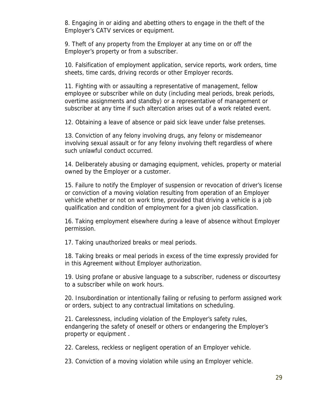8. Engaging in or aiding and abetting others to engage in the theft of the Employer's CATV services or equipment.

9. Theft of any property from the Employer at any time on or off the Employer's property or from a subscriber.

10. Falsification of employment application, service reports, work orders, time sheets, time cards, driving records or other Employer records.

11. Fighting with or assaulting a representative of management, fellow employee or subscriber while on duty (including meal periods, break periods, overtime assignments and standby) or a representative of management or subscriber at any time if such altercation arises out of a work related event.

12. Obtaining a leave of absence or paid sick leave under false pretenses.

13. Conviction of any felony involving drugs, any felony or misdemeanor involving sexual assault or for any felony involving theft regardless of where such unlawful conduct occurred.

14. Deliberately abusing or damaging equipment, vehicles, property or material owned by the Employer or a customer.

15. Failure to notify the Employer of suspension or revocation of driver's license or conviction of a moving violation resulting from operation of an Employer vehicle whether or not on work time, provided that driving a vehicle is a job qualification and condition of employment for a given job classification.

16. Taking employment elsewhere during a leave of absence without Employer permission.

17. Taking unauthorized breaks or meal periods.

18. Taking breaks or meal periods in excess of the time expressly provided for in this Agreement without Employer authorization.

19. Using profane or abusive language to a subscriber, rudeness or discourtesy to a subscriber while on work hours.

20. Insubordination or intentionally failing or refusing to perform assigned work or orders, subject to any contractual limitations on scheduling.

21. Carelessness, including violation of the Employer's safety rules, endangering the safety of oneself or others or endangering the Employer's property or equipment .

22. Careless, reckless or negligent operation of an Employer vehicle.

23. Conviction of a moving violation while using an Employer vehicle.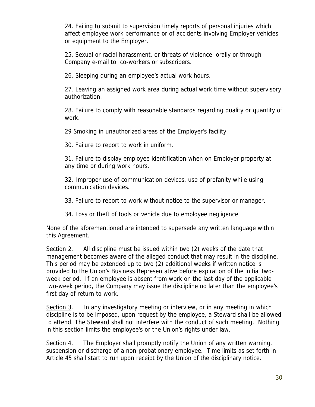24. Failing to submit to supervision timely reports of personal injuries which affect employee work performance or of accidents involving Employer vehicles or equipment to the Employer.

25. Sexual or racial harassment, or threats of violence orally or through Company e-mail to co-workers or subscribers.

26. Sleeping during an employee's actual work hours.

27. Leaving an assigned work area during actual work time without supervisory authorization.

28. Failure to comply with reasonable standards regarding quality or quantity of work.

29 Smoking in unauthorized areas of the Employer's facility.

30. Failure to report to work in uniform.

31. Failure to display employee identification when on Employer property at any time or during work hours.

32. Improper use of communication devices, use of profanity while using communication devices.

33. Failure to report to work without notice to the supervisor or manager.

34. Loss or theft of tools or vehicle due to employee negligence.

None of the aforementioned are intended to supersede any written language within this Agreement.

Section 2. All discipline must be issued within two (2) weeks of the date that management becomes aware of the alleged conduct that may result in the discipline. This period may be extended up to two (2) additional weeks if written notice is provided to the Union's Business Representative before expiration of the initial twoweek period. If an employee is absent from work on the last day of the applicable two-week period, the Company may issue the discipline no later than the employee's first day of return to work.

Section 3. In any investigatory meeting or interview, or in any meeting in which discipline is to be imposed, upon request by the employee, a Steward shall be allowed to attend. The Steward shall not interfere with the conduct of such meeting. Nothing in this section limits the employee's or the Union's rights under law.

Section 4. The Employer shall promptly notify the Union of any written warning, suspension or discharge of a non-probationary employee. Time limits as set forth in Article 45 shall start to run upon receipt by the Union of the disciplinary notice.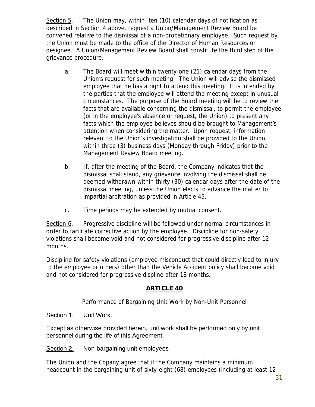Section 5. The Union may, within ten (10) calendar days of notification as described in Section 4 above, request a Union/Management Review Board be convened relative to the dismissal of a non-probationary employee. Such request by the Union must be made to the office of the Director of Human Resources or designee. A Union/Management Review Board shall constitute the third step of the grievance procedure.

- a. The Board will meet within twenty-one (21) calendar days from the Union's request for such meeting. The Union will advise the dismissed employee that he has a right to attend this meeting. It is intended by the parties that the employee will attend the meeting except in unusual circumstances. The purpose of the Board meeting will be to review the facts that are available concerning the dismissal, to permit the employee (or in the employee's absence or request, the Union) to present any facts which the employee believes should be brought to Management's attention when considering the matter. Upon request, information relevant to the Union's investigation shall be provided to the Union within three (3) business days (Monday through Friday) prior to the Management Review Board meeting.
- b. If, after the meeting of the Board, the Company indicates that the dismissal shall stand, any grievance involving the dismissal shall be deemed withdrawn within thirty (30) calendar days after the date of the dismissal meeting, unless the Union elects to advance the matter to impartial arbitration as provided in Article 45.
- c. Time periods may be extended by mutual consent.

Section 6. Progressive discipline will be followed under normal circumstances in order to facilitate corrective action by the employee. Discipline for non-safety violations shall become void and not considered for progressive discipline after 12 months.

Discipline for safety violations (employee misconduct that could directly lead to injury to the employee or others) other than the Vehicle Accident policy shall become void and not considered for progressive displine after 18 months.

## **ARTICLE 40**

#### Performance of Bargaining Unit Work by Non-Unit Personnel

#### Section 1. Unit Work.

Except as otherwise provided herein, unit work shall be performed only by unit personnel during the life of this Agreement.

Section 2. Non-bargaining unit employees

The Union and the Copany agree that if the Company maintains a minimum headcount in the bargaining unit of sixty-eight (68) employees (including at least 12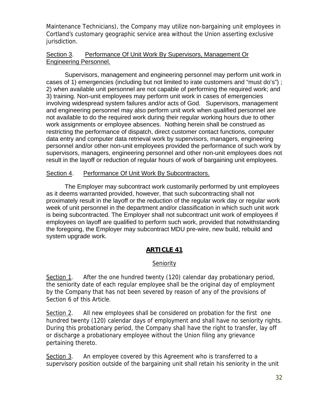Maintenance Technicians), the Company may utilize non-bargaining unit employees in Cortland's customary geographic service area without the Union asserting exclusive jurisdiction.

#### Section 3. Performance Of Unit Work By Supervisors, Management Or Engineering Personnel.

Supervisors, management and engineering personnel may perform unit work in cases of 1) emergencies (including but not limited to irate customers and "must do's") ; 2) when available unit personnel are not capable of performing the required work; and 3) training. Non-unit employees may perform unit work in cases of emergencies involving widespread system failures and/or acts of God. Supervisors, management and engineering personnel may also perform unit work when qualified personnel are not available to do the required work during their regular working hours due to other work assignments or employee absences. Nothing herein shall be construed as restricting the performance of dispatch, direct customer contact functions, computer data entry and computer data retrieval work by supervisors, managers, engineering personnel and/or other non-unit employees provided the performance of such work by supervisors, managers, engineering personnel and other non-unit employees does not result in the layoff or reduction of regular hours of work of bargaining unit employees.

#### Section 4. Performance Of Unit Work By Subcontractors.

 The Employer may subcontract work customarily performed by unit employees as it deems warranted provided, however, that such subcontracting shall not proximately result in the layoff or the reduction of the regular work day or regular work week of unit personnel in the department and/or classification in which such unit work is being subcontracted. The Employer shall not subcontract unit work of employees if employees on layoff are qualified to perform such work, provided that notwithstanding the foregoing, the Employer may subcontract MDU pre-wire, new build, rebuild and system upgrade work.

#### **ARTICLE 41**

#### Seniority

Section 1. After the one hundred twenty (120) calendar day probationary period, the seniority date of each regular employee shall be the original day of employment by the Company that has not been severed by reason of any of the provisions of Section 6 of this Article.

Section 2. All new employees shall be considered on probation for the first one hundred twenty (120) calendar days of employment and shall have no seniority rights. During this probationary period, the Company shall have the right to transfer, lay off or discharge a probationary employee without the Union filing any grievance pertaining thereto.

Section 3. An employee covered by this Agreement who is transferred to a supervisory position outside of the bargaining unit shall retain his seniority in the unit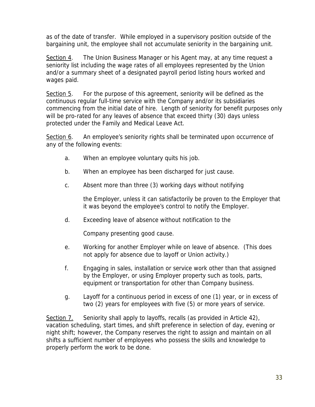as of the date of transfer. While employed in a supervisory position outside of the bargaining unit, the employee shall not accumulate seniority in the bargaining unit.

Section 4. The Union Business Manager or his Agent may, at any time request a seniority list including the wage rates of all employees represented by the Union and/or a summary sheet of a designated payroll period listing hours worked and wages paid.

Section 5. For the purpose of this agreement, seniority will be defined as the continuous regular full-time service with the Company and/or its subsidiaries commencing from the initial date of hire. Length of seniority for benefit purposes only will be pro-rated for any leaves of absence that exceed thirty (30) days unless protected under the Family and Medical Leave Act.

Section 6. An employee's seniority rights shall be terminated upon occurrence of any of the following events:

- a. When an employee voluntary quits his job.
- b. When an employee has been discharged for just cause.
- c. Absent more than three (3) working days without notifying

the Employer, unless it can satisfactorily be proven to the Employer that it was beyond the employee's control to notify the Employer.

d. Exceeding leave of absence without notification to the

Company presenting good cause.

- e. Working for another Employer while on leave of absence. (This does not apply for absence due to layoff or Union activity.)
- f. Engaging in sales, installation or service work other than that assigned by the Employer, or using Employer property such as tools, parts, equipment or transportation for other than Company business.
- g. Layoff for a continuous period in excess of one (1) year, or in excess of two (2) years for employees with five (5) or more years of service.

Section 7. Seniority shall apply to layoffs, recalls (as provided in Article 42), vacation scheduling, start times, and shift preference in selection of day, evening or night shift; however, the Company reserves the right to assign and maintain on all shifts a sufficient number of employees who possess the skills and knowledge to properly perform the work to be done.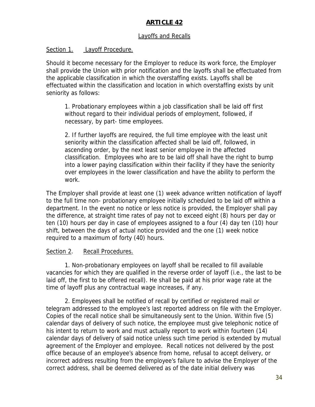## **ARTICLE 42**

#### Layoffs and Recalls

#### Section 1. Layoff Procedure.

Should it become necessary for the Employer to reduce its work force, the Employer shall provide the Union with prior notification and the layoffs shall be effectuated from the applicable classification in which the overstaffing exists. Layoffs shall be effectuated within the classification and location in which overstaffing exists by unit seniority as follows:

1. Probationary employees within a job classification shall be laid off first without regard to their individual periods of employment, followed, if necessary, by part- time employees.

2. If further layoffs are required, the full time employee with the least unit seniority within the classification affected shall be laid off, followed, in ascending order, by the next least senior employee in the affected classification. Employees who are to be laid off shall have the right to bump into a lower paying classification within their facility if they have the seniority over employees in the lower classification and have the ability to perform the work.

The Employer shall provide at least one (1) week advance written notification of layoff to the full time non- probationary employee initially scheduled to be laid off within a department. In the event no notice or less notice is provided, the Employer shall pay the difference, at straight time rates of pay not to exceed eight (8) hours per day or ten (10) hours per day in case of employees assigned to a four (4) day ten (10) hour shift, between the days of actual notice provided and the one (1) week notice required to a maximum of forty (40) hours.

#### Section 2. Recall Procedures.

1. Non-probationary employees on layoff shall be recalled to fill available vacancies for which they are qualified in the reverse order of layoff (i.e., the last to be laid off, the first to be offered recall). He shall be paid at his prior wage rate at the time of layoff plus any contractual wage increases, if any.

2. Employees shall be notified of recall by certified or registered mail or telegram addressed to the employee's last reported address on file with the Employer. Copies of the recall notice shall be simultaneously sent to the Union. Within five (5) calendar days of delivery of such notice, the employee must give telephonic notice of his intent to return to work and must actually report to work within fourteen (14) calendar days of delivery of said notice unless such time period is extended by mutual agreement of the Employer and employee. Recall notices not delivered by the post office because of an employee's absence from home, refusal to accept delivery, or incorrect address resulting from the employee's failure to advise the Employer of the correct address, shall be deemed delivered as of the date initial delivery was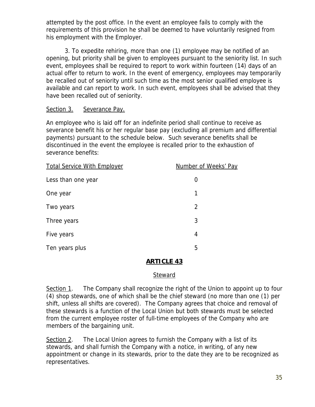attempted by the post office. In the event an employee fails to comply with the requirements of this provision he shall be deemed to have voluntarily resigned from his employment with the Employer.

3. To expedite rehiring, more than one (1) employee may be notified of an opening, but priority shall be given to employees pursuant to the seniority list. In such event, employees shall be required to report to work within fourteen (14) days of an actual offer to return to work. In the event of emergency, employees may temporarily be recalled out of seniority until such time as the most senior qualified employee is available and can report to work. In such event, employees shall be advised that they have been recalled out of seniority.

#### Section 3. Severance Pay.

An employee who is laid off for an indefinite period shall continue to receive as severance benefit his or her regular base pay (excluding all premium and differential payments) pursuant to the schedule below. Such severance benefits shall be discontinued in the event the employee is recalled prior to the exhaustion of severance benefits:

| <b>Total Service With Employer</b> | Number of Weeks' Pay |
|------------------------------------|----------------------|
| Less than one year                 | $\Omega$             |
| One year                           | 1                    |
| Two years                          | 2                    |
| Three years                        | 3                    |
| Five years                         | 4                    |
| Ten years plus                     | 5                    |

#### **ARTICLE 43**

#### Steward

Section 1. The Company shall recognize the right of the Union to appoint up to four (4) shop stewards, one of which shall be the chief steward (no more than one (1) per shift, unless all shifts are covered). The Company agrees that choice and removal of these stewards is a function of the Local Union but both stewards must be selected from the current employee roster of full-time employees of the Company who are members of the bargaining unit.

Section 2. The Local Union agrees to furnish the Company with a list of its stewards, and shall furnish the Company with a notice, in writing, of any new appointment or change in its stewards, prior to the date they are to be recognized as representatives.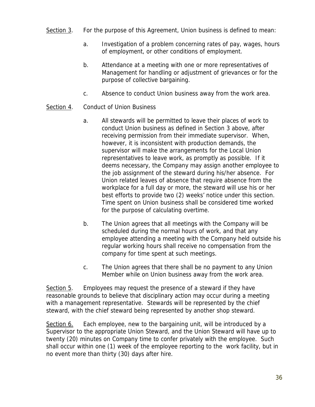- Section 3. For the purpose of this Agreement, Union business is defined to mean:
	- a. Investigation of a problem concerning rates of pay, wages, hours of employment, or other conditions of employment.
	- b. Attendance at a meeting with one or more representatives of Management for handling or adjustment of grievances or for the purpose of collective bargaining.
	- c. Absence to conduct Union business away from the work area.

#### Section 4. Conduct of Union Business

- a. All stewards will be permitted to leave their places of work to conduct Union business as defined in Section 3 above, after receiving permission from their immediate supervisor. When, however, it is inconsistent with production demands, the supervisor will make the arrangements for the Local Union representatives to leave work, as promptly as possible. If it deems necessary, the Company may assign another employee to the job assignment of the steward during his/her absence. For Union related leaves of absence that require absence from the workplace for a full day or more, the steward will use his or her best efforts to provide two (2) weeks' notice under this section. Time spent on Union business shall be considered time worked for the purpose of calculating overtime.
- b. The Union agrees that all meetings with the Company will be scheduled during the normal hours of work, and that any employee attending a meeting with the Company held outside his regular working hours shall receive no compensation from the company for time spent at such meetings.
- c. The Union agrees that there shall be no payment to any Union Member while on Union business away from the work area.

Section 5. Employees may request the presence of a steward if they have reasonable grounds to believe that disciplinary action may occur during a meeting with a management representative. Stewards will be represented by the chief steward, with the chief steward being represented by another shop steward.

Section 6. Each employee, new to the bargaining unit, will be introduced by a Supervisor to the appropriate Union Steward, and the Union Steward will have up to twenty (20) minutes on Company time to confer privately with the employee. Such shall occur within one (1) week of the employee reporting to the work facility, but in no event more than thirty (30) days after hire.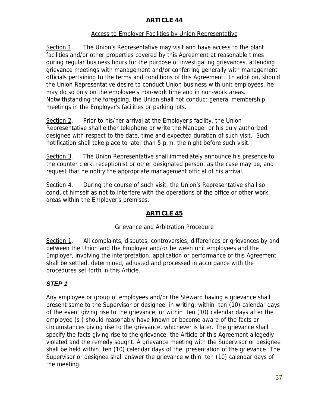## **ARTICLE 44**

## Access to Employer Facilities by Union Representative

Section 1. The Union's Representative may visit and have access to the plant facilities and/or other properties covered by this Agreement at reasonable times during regular business hours for the purpose of investigating grievances, attending grievance meetings with management and/or conferring generally with management officials pertaining to the terms and conditions of this Agreement. In addition, should the Union Representative desire to conduct Union business with unit employees, he may do so only on the employee's non-work time and in non-work areas. Notwithstanding the foregoing, the Union shall not conduct general membership meetings in the Employer's facilities or parking lots.

Section 2. Prior to his/her arrival at the Employer's facility, the Union Representative shall either telephone or write the Manager or his duly authorized designee with respect to the date, time and expected duration of such visit. Such notification shall take place to later than 5 p.m. the night before such visit.

Section 3. The Union Representative shall immediately announce his presence to the counter clerk, receptionist or other designated person, as the case may be, and request that he notify the appropriate management official of his arrival.

Section 4. During the course of such visit, the Union's Representative shall so conduct himself as not to interfere with the operations of the office or other work areas within the Employer's premises.

# **ARTICLE 45**

## Grievance and Arbitration Procedure

Section 1. All complaints, disputes, controversies, differences or grievances by and between the Union and the Employer and/or between unit employees and the Employer, involving the interpretation, application or performance of this Agreement shall be settled, determined, adjusted and processed in accordance with the procedures set forth in this Article.

## *STEP 1*

Any employee or group of employees and/or the Steward having a grievance shall present same to the Supervisor or designee, in writing, within ten (10) calendar days of the event giving rise to the grievance, or within ten (10) calendar days after the employee (s ) should reasonably have known or become aware of the facts or circumstances giving rise to the grievance, whichever is later. The grievance shall specify the facts giving rise to the grievance, the Article of this Agreement allegedly violated and the remedy sought. A grievance meeting with the Supervisor or designee shall be held within ten (10) calendar days of the, presentation of the grievance. The Supervisor or designee shall answer the grievance within ten (10) calendar days of the meeting.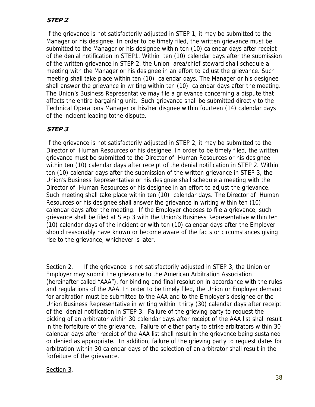# **STEP 2**

If the grievance is not satisfactorily adjusted in STEP 1, it may be submitted to the Manager or his designee. In order to be timely filed, the written grievance must be submitted to the Manager or his designee within ten (10) calendar days after receipt of the denial notification in STEP1. Within ten (10) calendar days after the submission of the written grievance in STEP 2, the Union area/chief steward shall schedule a meeting with the Manager or his designee in an effort to adjust the grievance. Such meeting shall take place within ten (10) calendar days. The Manager or his designee shall answer the grievance in writing within ten (10) calendar days after the meeting. The Union's Business Representative may file a grievance concerning a dispute that affects the entire bargaining unit. Such grievance shall be submitted directly to the Technical Operations Manager or his/her disgnee within fourteen (14) calendar days of the incident leading tothe dispute.

## **STEP 3**

If the grievance is not satisfactorily adjusted in STEP 2, it may be submitted to the Director of Human Resources or his designee. In order to be timely filed, the written grievance must be submitted to the Director of Human Resources or his designee within ten (10) calendar days after receipt of the denial notification in STEP 2. Within ten (10) calendar days after the submission of the written grievance in STEP 3, the Union's Business Representative or his designee shall schedule a meeting with the Director of Human Resources or his designee in an effort to adjust the grievance. Such meeting shall take place within ten (10) calendar days. The Director of Human Resources or his designee shall answer the grievance in writing within ten (10) calendar days after the meeting. If the Employer chooses to file a grievance, such grievance shall be filed at Step 3 with the Union's Business Representative within ten (10) calendar days of the incident or with ten (10) calendar days after the Employer should reasonably have known or become aware of the facts or circumstances giving rise to the grievance, whichever is later.

Section 2. If the grievance is not satisfactorily adjusted in STEP 3, the Union or Employer may submit the grievance to the American Arbitration Association (hereinafter called "AAA"), for binding and final resolution in accordance with the rules and regulations of the AAA. In order to be timely filed, the Union or Employer demand for arbitration must be submitted to the AAA and to the Employer's designee or the Union Business Representative in writing within thirty (30) calendar days after receipt of the denial notification in STEP 3. Failure of the grieving party to request the picking of an arbitrator within 30 calendar days after receipt of the AAA list shall result in the forfeiture of the grievance. Failure of either party to strike arbitrators within 30 calendar days after receipt of the AAA list shall result in the grievance being sustained or denied as appropriate. In addition, failure of the grieving party to request dates for arbitration within 30 calendar days of the selection of an arbitrator shall result in the forfeiture of the grievance.

#### Section 3.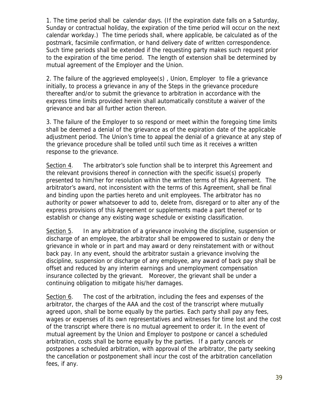1. The time period shall be calendar days. (If the expiration date falls on a Saturday, Sunday or contractual holiday, the expiration of the time period will occur on the next calendar workday.) The time periods shall, where applicable, be calculated as of the postmark, facsimile confirmation, or hand delivery date of written correspondence. Such time periods shall be extended if the requesting party makes such request prior to the expiration of the time period. The length of extension shall be determined by mutual agreement of the Employer and the Union.

2. The failure of the aggrieved employee(s) , Union, Employer to file a grievance initially, to process a grievance in any of the Steps in the grievance procedure thereafter and/or to submit the grievance to arbitration in accordance with the express time limits provided herein shall automatically constitute a waiver of the grievance and bar all further action thereon.

3. The failure of the Employer to so respond or meet within the foregoing time limits shall be deemed a denial of the grievance as of the expiration date of the applicable adjustment period. The Union's time to appeal the denial of a grievance at any step of the grievance procedure shall be tolled until such time as it receives a written response to the grievance.

Section 4. The arbitrator's sole function shall be to interpret this Agreement and the relevant provisions thereof in connection with the specific issue(s) properly presented to him/her for resolution within the written terms of this Agreement. The arbitrator's award, not inconsistent with the terms of this Agreement, shall be final and binding upon the parties hereto and unit employees. The arbitrator has no authority or power whatsoever to add to, delete from, disregard or to alter any of the express provisions of this Agreement or supplements made a part thereof or to establish or change any existing wage schedule or existing classification.

Section 5. In any arbitration of a grievance involving the discipline, suspension or discharge of an employee, the arbitrator shall be empowered to sustain or deny the grievance in whole or in part and may award or deny reinstatement with or without back pay. In any event, should the arbitrator sustain a grievance involving the discipline, suspension or discharge of any employee, any award of back pay shall be offset and reduced by any interim earnings and unemployment compensation insurance collected by the grievant. Moreover, the grievant shall be under a continuing obligation to mitigate his/her damages.

Section 6. The cost of the arbitration, including the fees and expenses of the arbitrator, the charges of the AAA and the cost of the transcript where mutually agreed upon, shall be borne equally by the parties. Each party shall pay any fees, wages or expenses of its own representatives and witnesses for time lost and the cost of the transcript where there is no mutual agreement to order it. In the event of mutual agreement by the Union and Employer to postpone or cancel a scheduled arbitration, costs shall be borne equally by the parties. If a party cancels or postpones a scheduled arbitration, with approval of the arbitrator, the party seeking the cancellation or postponement shall incur the cost of the arbitration cancellation fees, if any.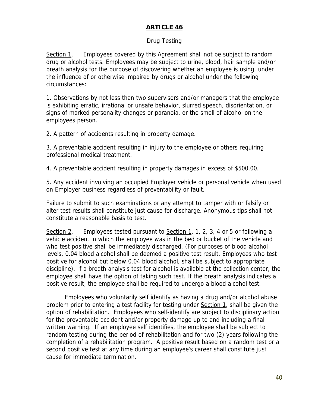## **ARTICLE 46**

## Drug Testing

Section 1. Employees covered by this Agreement shall not be subject to random drug or alcohol tests. Employees may be subject to urine, blood, hair sample and/or breath analysis for the purpose of discovering whether an employee is using, under the influence of or otherwise impaired by drugs or alcohol under the following circumstances:

1. Observations by not less than two supervisors and/or managers that the employee is exhibiting erratic, irrational or unsafe behavior, slurred speech, disorientation, or signs of marked personality changes or paranoia, or the smell of alcohol on the employees person.

2. A pattern of accidents resulting in property damage.

3. A preventable accident resulting in injury to the employee or others requiring professional medical treatment.

4. A preventable accident resulting in property damages in excess of \$500.00.

5. Any accident involving an occupied Employer vehicle or personal vehicle when used on Employer business regardless of preventability or fault.

Failure to submit to such examinations or any attempt to tamper with or falsify or alter test results shall constitute just cause for discharge. Anonymous tips shall not constitute a reasonable basis to test.

Section 2. Employees tested pursuant to Section 1. 1, 2, 3, 4 or 5 or following a vehicle accident in which the employee was in the bed or bucket of the vehicle and who test positive shall be immediately discharged. (For purposes of blood alcohol levels, 0.04 blood alcohol shall be deemed a positive test result. Employees who test positive for alcohol but below 0.04 blood alcohol, shall be subject to appropriate discipline). If a breath analysis test for alcohol is available at the collection center, the employee shall have the option of taking such test. If the breath analysis indicates a positive result, the employee shall be required to undergo a blood alcohol test.

 Employees who voluntarily self identify as having a drug and/or alcohol abuse problem prior to entering a test facility for testing under Section 1, shall be given the option of rehabilitation. Employees who self-identify are subject to disciplinary action for the preventable accident and/or property damage up to and including a final written warning. If an employee self identifies, the employee shall be subject to random testing during the period of rehabilitation and for two (2) years following the completion of a rehabilitation program. A positive result based on a random test or a second positive test at any time during an employee's career shall constitute just cause for immediate termination.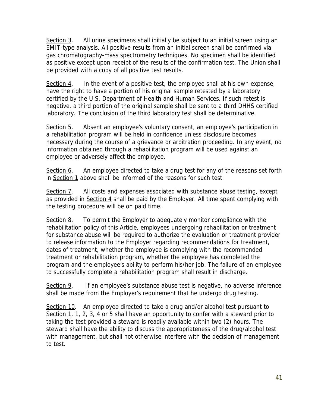Section 3. All urine specimens shall initially be subject to an initial screen using an EMIT-type analysis. All positive results from an initial screen shall be confirmed via gas chromatography-mass spectrometry techniques. No specimen shall be identified as positive except upon receipt of the results of the confirmation test. The Union shall be provided with a copy of all positive test results.

Section 4. In the event of a positive test, the employee shall at his own expense, have the right to have a portion of his original sample retested by a laboratory certified by the U.S. Department of Health and Human Services. If such retest is negative, a third portion of the original sample shall be sent to a third DHHS certified laboratory. The conclusion of the third laboratory test shall be determinative.

Section 5. Absent an employee's voluntary consent, an employee's participation in a rehabilitation program will be held in confidence unless disclosure becomes necessary during the course of a grievance or arbitration proceeding. In any event, no information obtained through a rehabilitation program will be used against an employee or adversely affect the employee.

Section 6. An employee directed to take a drug test for any of the reasons set forth in Section 1 above shall be informed of the reasons for such test.

Section 7. All costs and expenses associated with substance abuse testing, except as provided in Section 4 shall be paid by the Employer. All time spent complying with the testing procedure will be on paid time.

Section 8. To permit the Employer to adequately monitor compliance with the rehabilitation policy of this Article, employees undergoing rehabilitation or treatment for substance abuse will be required to authorize the evaluation or treatment provider to release information to the Employer regarding recommendations for treatment, dates of treatment, whether the employee is complying with the recommended treatment or rehabilitation program, whether the employee has completed the program and the employee's ability to perform his/her job. The failure of an employee to successfully complete a rehabilitation program shall result in discharge.

Section 9. If an employee's substance abuse test is negative, no adverse inference shall be made from the Employer's requirement that he undergo drug testing.

Section 10. An employee directed to take a drug and/or alcohol test pursuant to Section 1. 1, 2, 3, 4 or 5 shall have an opportunity to confer with a steward prior to taking the test provided a steward is readily available within two (2) hours. The steward shall have the ability to discuss the appropriateness of the drug/alcohol test with management, but shall not otherwise interfere with the decision of management to test.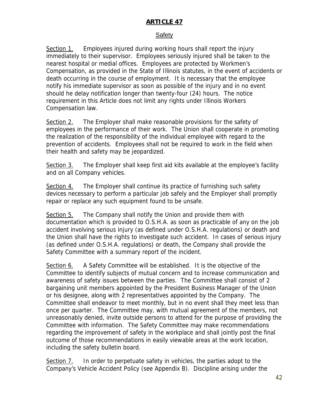## **ARTICLE 47**

#### Safety

Section 1. Employees injured during working hours shall report the injury immediately to their supervisor. Employees seriously injured shall be taken to the nearest hospital or medial offices. Employees are protected by Workmen's Compensation, as provided in the State of Illinois statutes, in the event of accidents or death occurring in the course of employment. It is necessary that the employee notify his immediate supervisor as soon as possible of the injury and in no event should he delay notification longer than twenty-four (24) hours. The notice requirement in this Article does not limit any rights under Illinois Workers Compensation law.

Section 2. The Employer shall make reasonable provisions for the safety of employees in the performance of their work. The Union shall cooperate in promoting the realization of the responsibility of the individual employee with regard to the prevention of accidents. Employees shall not be required to work in the field when their health and safety may be jeopardized.

Section 3. The Employer shall keep first aid kits available at the employee's facility and on all Company vehicles.

Section 4. The Employer shall continue its practice of furnishing such safety devices necessary to perform a particular job safely and the Employer shall promptly repair or replace any such equipment found to be unsafe.

Section 5. The Company shall notify the Union and provide them with documentation which is provided to O.S.H.A. as soon as practicable of any on the job accident involving serious injury (as defined under O.S.H.A. regulations) or death and the Union shall have the rights to investigate such accident. In cases of serious injury (as defined under O.S.H.A. regulations) or death, the Company shall provide the Safety Committee with a summary report of the incident.

Section 6. A Safety Committee will be established. It is the objective of the Committee to identify subjects of mutual concern and to increase communication and awareness of safety issues between the parties. The Committee shall consist of 2 bargaining unit members appointed by the President Business Manager of the Union or his designee, along with 2 representatives appointed by the Company. The Committee shall endeavor to meet monthly, but in no event shall they meet less than once per quarter. The Committee may, with mutual agreement of the members, not unreasonably denied, invite outside persons to attend for the purpose of providing the Committee with information. The Safety Committee may make recommendations regarding the improvement of safety in the workplace and shall jointly post the final outcome of those recommendations in easily viewable areas at the work location, including the safety bulletin board.

Section 7. In order to perpetuate safety in vehicles, the parties adopt to the Company's Vehicle Accident Policy (see Appendix B). Discipline arising under the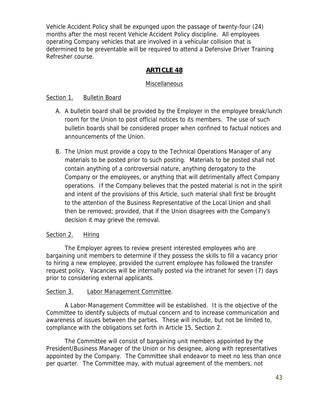Vehicle Accident Policy shall be expunged upon the passage of twenty-four (24) months after the most recent Vehicle Accident Policy discipline. All employees operating Company vehicles that are involved in a vehicular collision that is determined to be preventable will be required to attend a Defensive Driver Training Refresher course.

## **ARTICLE 48**

## **Miscellaneous**

## Section 1. Bulletin Board

- A. A bulletin board shall be provided by the Employer in the employee break/lunch room for the Union to post official notices to its members. The use of such bulletin boards shall be considered proper when confined to factual notices and announcements of the Union.
- B. The Union must provide a copy to the Technical Operations Manager of any materials to be posted prior to such posting. Materials to be posted shall not contain anything of a controversial nature, anything derogatory to the Company or the employees, or anything that will detrimentally affect Company operations. If the Company believes that the posted material is not in the spirit and intent of the provisions of this Article, such material shall first be brought to the attention of the Business Representative of the Local Union and shall then be removed; provided, that if the Union disagrees with the Company's decision it may grieve the removal.

#### Section 2. **Hiring**

 The Employer agrees to review present interested employees who are bargaining unit members to determine if they possess the skills to fill a vacancy prior to hiring a new employee, provided the current employee has followed the transfer request policy. Vacancies will be internally posted via the intranet for seven (7) days prior to considering external applicants.

#### Section 3. Labor Management Committee.

A Labor-Management Committee will be established. It is the objective of the Committee to identify subjects of mutual concern and to increase communication and awareness of issues between the parties. These will include, but not be limited to, compliance with the obligations set forth in Article 15, Section 2.

The Committee will consist of bargaining unit members appointed by the President/Business Manager of the Union or his designee, along with representatives appointed by the Company. The Committee shall endeavor to meet no less than once per quarter. The Committee may, with mutual agreement of the members, not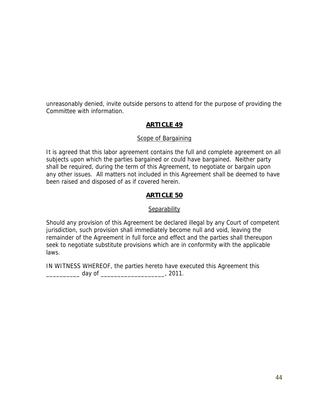unreasonably denied, invite outside persons to attend for the purpose of providing the Committee with information.

## **ARTICLE 49**

#### Scope of Bargaining

It is agreed that this labor agreement contains the full and complete agreement on all subjects upon which the parties bargained or could have bargained. Neither party shall be required, during the term of this Agreement, to negotiate or bargain upon any other issues. All matters not included in this Agreement shall be deemed to have been raised and disposed of as if covered herein.

#### **ARTICLE 50**

#### **Separability**

Should any provision of this Agreement be declared illegal by any Court of competent jurisdiction, such provision shall immediately become null and void, leaving the remainder of the Agreement in full force and effect and the parties shall thereupon seek to negotiate substitute provisions which are in conformity with the applicable laws.

IN WITNESS WHEREOF, the parties hereto have executed this Agreement this \_\_\_\_\_\_\_\_\_\_ day of \_\_\_\_\_\_\_\_\_\_\_\_\_\_\_\_\_\_\_, 2011.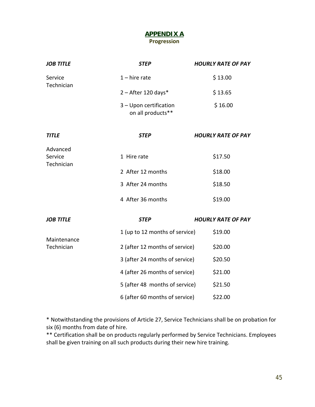#### **APPENDIX A Progression**

| <b>JOB TITLE</b>                  | <b>STEP</b>                                 | <b>HOURLY RATE OF PAY</b> |
|-----------------------------------|---------------------------------------------|---------------------------|
| Service<br>Technician             | $1 - h$ ire rate                            | \$13.00                   |
|                                   | $2 -$ After 120 days*                       | \$13.65                   |
|                                   | 3 - Upon certification<br>on all products** | \$16.00                   |
| <b>TITLE</b>                      | <b>STEP</b>                                 | <b>HOURLY RATE OF PAY</b> |
| Advanced<br>Service<br>Technician | 1 Hire rate                                 | \$17.50                   |
|                                   | 2 After 12 months                           | \$18.00                   |
|                                   | 3 After 24 months                           | \$18.50                   |
|                                   | 4 After 36 months                           | \$19.00                   |
| <b>JOB TITLE</b>                  | <b>STEP</b>                                 | <b>HOURLY RATE OF PAY</b> |
|                                   | 1 (up to 12 months of service)              | \$19.00                   |
| Maintenance<br>Technician         | 2 (after 12 months of service)              | \$20.00                   |
|                                   | 3 (after 24 months of service)              | \$20.50                   |
|                                   | 4 (after 26 months of service)              | \$21.00                   |
|                                   | 5 (after 48 months of service)              | \$21.50                   |
|                                   | 6 (after 60 months of service)              | \$22.00                   |

\* Notwithstanding the provisions of Article 27, Service Technicians shall be on probation for six (6) months from date of hire.

\*\* Certification shall be on products regularly performed by Service Technicians. Employees shall be given training on all such products during their new hire training.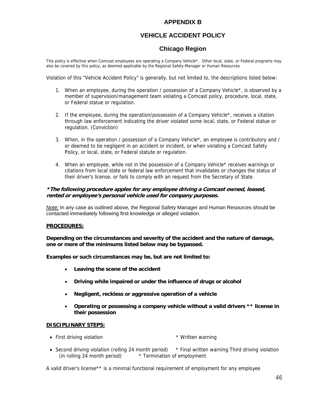#### **APPENDIX B**

## **VEHICLE ACCIDENT POLICY**

## **Chicago Region**

This policy is effective when Comcast employees are operating a Company Vehicle\*. Other local, state, or Federal programs may also be covered by this policy, as deemed applicable by the Regional Safety Manager or Human Resources.

Violation of this "Vehicle Accident Policy" is generally, but not limited to, the descriptions listed below:

- 1. When an employee, during the operation / possession of a Company Vehicle\*, is observed by a member of supervision/management team violating a Comcast policy, procedure, local, state, or Federal statue or regulation.
- 2. If the employee, during the operation/possession of a Company Vehicle\*, receives a citation through law enforcement indicating the driver violated some local, state, or Federal statue or regulation. (Conviction)
- 3. When, in the operation / possession of a Company Vehicle\*, an employee is contributory and / or deemed to be negligent in an accident or incident, or when violating a Comcast Safety Policy, or local, state, or Federal statute or regulation.
- 4. When an employee, while not in the possession of a Company Vehicle\* receives warnings or citations from local state or federal law enforcement that invalidates or changes the status of their driver's license, or fails to comply with an request from the Secretary of State.

#### **\*The following procedure apples for any employee driving a Comcast owned, leased, rented or employee's personal vehicle used for company purposes.**

*Note:* In any case as outlined above, the Regional Safety Manager and Human Resources should be contacted immediately following first knowledge or alleged violation.

#### **PROCEDURES:**

**Depending on the circumstances and severity of the accident and the nature of damage, one or more of the minimums listed below may be bypassed.** 

**Examples or such circumstances may be, but are not limited to:** 

- **Leaving the scene of the accident**
- **Driving while impaired or under the influence of drugs or alcohol**
- **Negligent, reckless or aggressive operation of a vehicle**
- **Operating or possessing a company vehicle without a valid drivers \*\* license in their possession**

#### **DISCIPLINARY STEPS:**

- First driving violation **\*** Written warning
- Second driving violation (rolling 24 month period) \* Final written warning. Third driving violation (in rolling 24 month period) \* Termination of employment

A valid driver's license\*\* is a minimal functional requirement of employment for any employee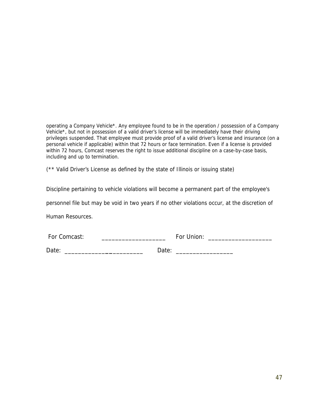operating a Company Vehicle\*. Any employee found to be in the operation / possession of a Company Vehicle\*, but not in possession of a valid driver's license will be immediately have their driving privileges suspended. That employee must provide proof of a valid driver's license and insurance (on a personal vehicle if applicable) within that 72 hours or face termination. Even if a license is provided within 72 hours, Comcast reserves the right to issue additional discipline on a case-by-case basis, including and up to termination.

(\*\* Valid Driver's License as defined by the state of Illinois or issuing state)

Discipline pertaining to vehicle violations will become a permanent part of the employee's

personnel file but may be void in two years if no other violations occur, at the discretion of

Human Resources.

| For Comcast: | For Union: |  |
|--------------|------------|--|
|              |            |  |

Date: \_\_\_\_\_\_\_\_\_\_\_\_**\_\_**\_\_\_\_\_\_\_\_\_ Date: \_\_\_\_\_\_\_\_\_\_\_\_\_\_\_\_\_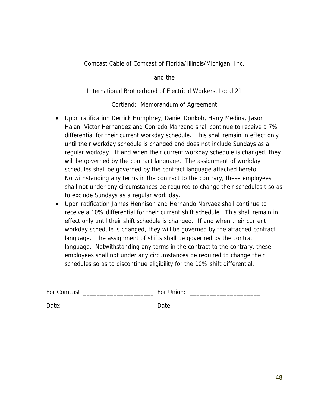Comcast Cable of Comcast of Florida/Illinois/Michigan, Inc.

and the

International Brotherhood of Electrical Workers, Local 21

Cortland: Memorandum of Agreement

- Upon ratification Derrick Humphrey, Daniel Donkoh, Harry Medina, Jason Halan, Victor Hernandez and Conrado Manzano shall continue to receive a 7% differential for their current workday schedule. This shall remain in effect only until their workday schedule is changed and does not include Sundays as a regular workday. If and when their current workday schedule is changed, they will be governed by the contract language. The assignment of workday schedules shall be governed by the contract language attached hereto. Notwithstanding any terms in the contract to the contrary, these employees shall not under any circumstances be required to change their schedules t so as to exclude Sundays as a regular work day.
- Upon ratification James Hennison and Hernando Narvaez shall continue to receive a 10% differential for their current shift schedule. This shall remain in effect only until their shift schedule is changed. If and when their current workday schedule is changed, they will be governed by the attached contract language. The assignment of shifts shall be governed by the contract language. Notwithstanding any terms in the contract to the contrary, these employees shall not under any circumstances be required to change their schedules so as to discontinue eligibility for the 10% shift differential.

| For Comcast: | For Union: |
|--------------|------------|
| Date:        | Date:      |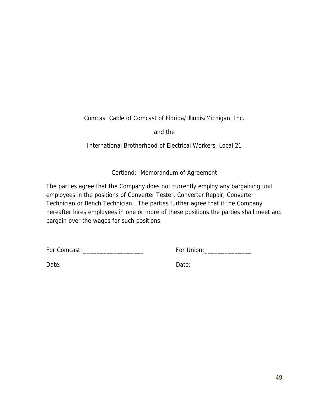Comcast Cable of Comcast of Florida/Illinois/Michigan, Inc.

and the

International Brotherhood of Electrical Workers, Local 21

Cortland: Memorandum of Agreement

The parties agree that the Company does not currently employ any bargaining unit employees in the positions of Converter Tester, Converter Repair, Converter Technician or Bench Technician. The parties further agree that if the Company hereafter hires employees in one or more of these positions the parties shall meet and bargain over the wages for such positions.

For Comcast: \_\_\_\_\_\_\_\_\_\_\_\_\_\_\_\_\_\_ For Union:\_\_\_\_\_\_\_\_\_\_\_\_\_\_

Date: Date: Date: Date: Date: Date: Date: Date: Date: Date: Date: Date: Date: Date: Date: Date: Date:  $\sim$  Date:  $\sim$  0.075  $\mu$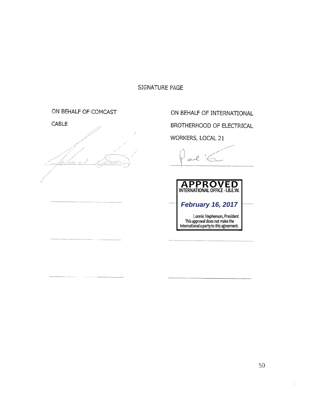## SIGNATURE PAGE

## ON BEHALF OF COMCAST

CABLE / / / /

ON BEHALF OF INTERNATIONAL BROTHERHOOD OF ELECTRICAL WORKERS, LOCAL 21

al Gung (

**APPROVED**<br>
INTERNATIONAL OFFICE - I.B.E.W.<br>
February 16, 2017<br>
International a party to this agreement.<br>
International a party to this agreement. Lonnie Stephenson, President This approval does not make the International a party to this agreement **February 16, 2017**

F.